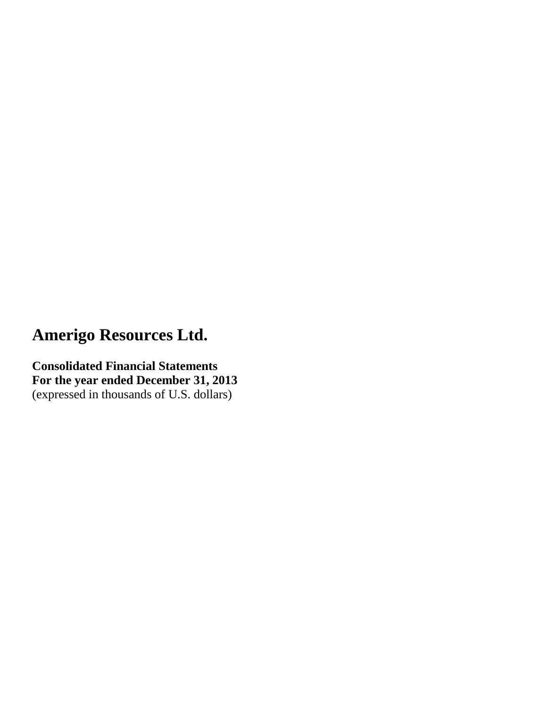**Consolidated Financial Statements For the year ended December 31, 2013** (expressed in thousands of U.S. dollars)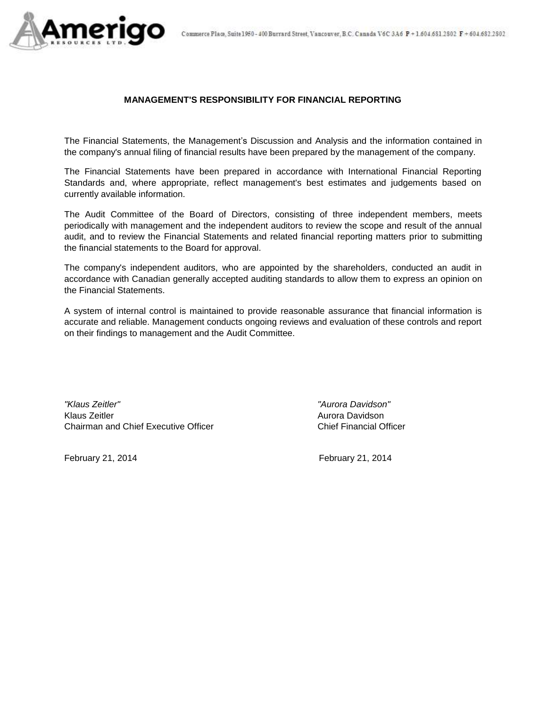

### **MANAGEMENT'S RESPONSIBILITY FOR FINANCIAL REPORTING**

The Financial Statements, the Management's Discussion and Analysis and the information contained in the company's annual filing of financial results have been prepared by the management of the company.

The Financial Statements have been prepared in accordance with International Financial Reporting Standards and, where appropriate, reflect management's best estimates and judgements based on currently available information.

The Audit Committee of the Board of Directors, consisting of three independent members, meets periodically with management and the independent auditors to review the scope and result of the annual audit, and to review the Financial Statements and related financial reporting matters prior to submitting the financial statements to the Board for approval.

The company's independent auditors, who are appointed by the shareholders, conducted an audit in accordance with Canadian generally accepted auditing standards to allow them to express an opinion on the Financial Statements.

A system of internal control is maintained to provide reasonable assurance that financial information is accurate and reliable. Management conducts ongoing reviews and evaluation of these controls and report on their findings to management and the Audit Committee.

*"Klaus Zeitler" "Aurora Davidson"* Klaus Zeitler **Aurora Davidson** Aurora Davidson Chairman and Chief Executive Officer Chief Financial Officer

February 21, 2014 February 21, 2014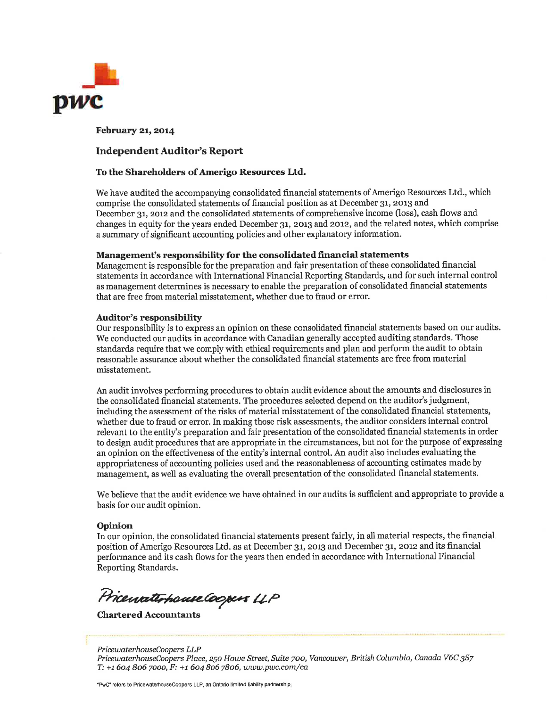

**February 21, 2014** 

#### **Independent Auditor's Report**

#### To the Shareholders of Amerigo Resources Ltd.

We have audited the accompanying consolidated financial statements of Amerigo Resources Ltd., which comprise the consolidated statements of financial position as at December 31, 2013 and December 31, 2012 and the consolidated statements of comprehensive income (loss), cash flows and changes in equity for the years ended December 31, 2013 and 2012, and the related notes, which comprise a summary of significant accounting policies and other explanatory information.

#### Management's responsibility for the consolidated financial statements

Management is responsible for the preparation and fair presentation of these consolidated financial statements in accordance with International Financial Reporting Standards, and for such internal control as management determines is necessary to enable the preparation of consolidated financial statements that are free from material misstatement, whether due to fraud or error.

#### **Auditor's responsibility**

Our responsibility is to express an opinion on these consolidated financial statements based on our audits. We conducted our audits in accordance with Canadian generally accepted auditing standards. Those standards require that we comply with ethical requirements and plan and perform the audit to obtain reasonable assurance about whether the consolidated financial statements are free from material misstatement.

An audit involves performing procedures to obtain audit evidence about the amounts and disclosures in the consolidated financial statements. The procedures selected depend on the auditor's judgment, including the assessment of the risks of material misstatement of the consolidated financial statements, whether due to fraud or error. In making those risk assessments, the auditor considers internal control relevant to the entity's preparation and fair presentation of the consolidated financial statements in order to design audit procedures that are appropriate in the circumstances, but not for the purpose of expressing an opinion on the effectiveness of the entity's internal control. An audit also includes evaluating the appropriateness of accounting policies used and the reasonableness of accounting estimates made by management, as well as evaluating the overall presentation of the consolidated financial statements.

We believe that the audit evidence we have obtained in our audits is sufficient and appropriate to provide a basis for our audit opinion.

#### Opinion

In our opinion, the consolidated financial statements present fairly, in all material respects, the financial position of Amerigo Resources Ltd. as at December 31, 2013 and December 31, 2012 and its financial performance and its cash flows for the years then ended in accordance with International Financial Reporting Standards.

Pricematerhouse Coopers UP

**Chartered Accountants** 

PricewaterhouseCoopers LLP PricewaterhouseCoopers Place, 250 Howe Street, Suite 700, Vancouver, British Columbia, Canada V6C 3S7 T: +1 604 806 7000, F: +1 604 806 7806, www.pwc.com/ca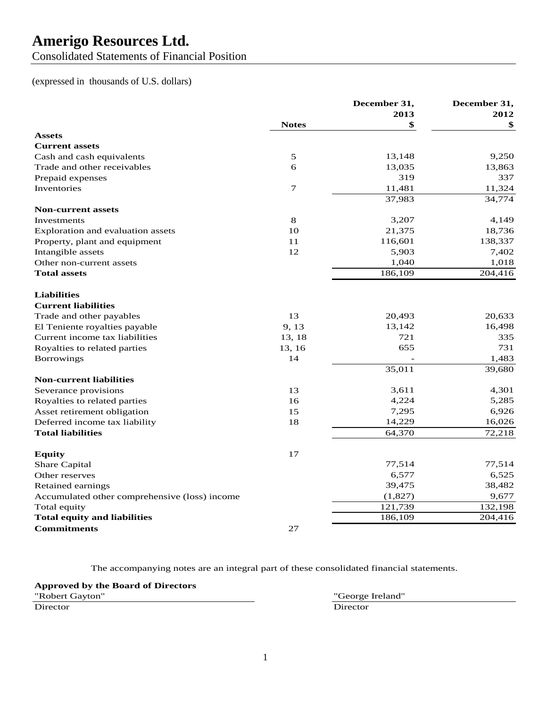Consolidated Statements of Financial Position

## (expressed in thousands of U.S. dollars)

|                                               |              | December 31, | December 31, |
|-----------------------------------------------|--------------|--------------|--------------|
|                                               |              | 2013         | 2012         |
|                                               | <b>Notes</b> | \$           | \$           |
| <b>Assets</b>                                 |              |              |              |
| <b>Current assets</b>                         |              |              |              |
| Cash and cash equivalents                     | 5            | 13,148       | 9,250        |
| Trade and other receivables                   | 6            | 13,035       | 13,863       |
| Prepaid expenses                              |              | 319          | 337          |
| Inventories                                   | $\tau$       | 11,481       | 11,324       |
|                                               |              | 37,983       | 34,774       |
| <b>Non-current assets</b>                     |              |              |              |
| Investments                                   | 8            | 3,207        | 4,149        |
| Exploration and evaluation assets             | 10           | 21,375       | 18,736       |
| Property, plant and equipment                 | 11           | 116,601      | 138,337      |
| Intangible assets                             | 12           | 5,903        | 7,402        |
| Other non-current assets                      |              | 1,040        | 1,018        |
| <b>Total assets</b>                           |              | 186,109      | 204,416      |
| <b>Liabilities</b>                            |              |              |              |
| <b>Current liabilities</b>                    |              |              |              |
| Trade and other payables                      | 13           | 20,493       | 20,633       |
| El Teniente royalties payable                 | 9, 13        | 13,142       | 16,498       |
| Current income tax liabilities                | 13, 18       | 721          | 335          |
| Royalties to related parties                  | 13, 16       | 655          | 731          |
| <b>Borrowings</b>                             | 14           |              | 1,483        |
|                                               |              | 35,011       | 39,680       |
| <b>Non-current liabilities</b>                |              |              |              |
| Severance provisions                          | 13           | 3,611        | 4,301        |
| Royalties to related parties                  | 16           | 4,224        | 5,285        |
| Asset retirement obligation                   | 15           | 7,295        | 6,926        |
| Deferred income tax liability                 | 18           | 14,229       | 16,026       |
| <b>Total liabilities</b>                      |              | 64,370       | 72,218       |
| <b>Equity</b>                                 | 17           |              |              |
| Share Capital                                 |              | 77,514       | 77,514       |
| Other reserves                                |              | 6,577        | 6,525        |
| Retained earnings                             |              | 39,475       | 38,482       |
| Accumulated other comprehensive (loss) income |              | (1,827)      | 9,677        |
| Total equity                                  |              | 121,739      | 132,198      |
| <b>Total equity and liabilities</b>           |              | 186,109      | 204,416      |
| <b>Commitments</b>                            | 27           |              |              |

The accompanying notes are an integral part of these consolidated financial statements.

**Approved by the Board of Directors** "Robert Gayton" "George Ireland"

Director Director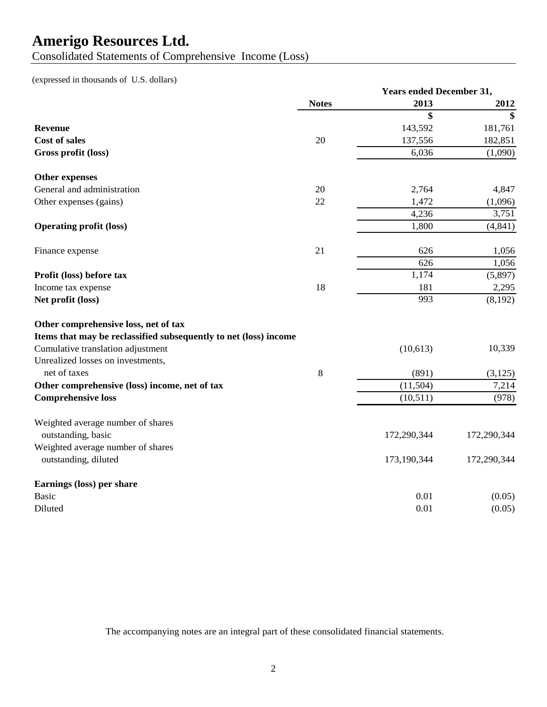Consolidated Statements of Comprehensive Income (Loss)

(expressed in thousands of U.S. dollars)

|                                                                  |              | <b>Years ended December 31,</b> |             |
|------------------------------------------------------------------|--------------|---------------------------------|-------------|
|                                                                  | <b>Notes</b> | 2013                            | 2012        |
|                                                                  |              | \$                              | \$          |
| <b>Revenue</b>                                                   |              | 143,592                         | 181,761     |
| <b>Cost of sales</b>                                             | 20           | 137,556                         | 182,851     |
| Gross profit (loss)                                              |              | 6,036                           | (1,090)     |
| <b>Other expenses</b>                                            |              |                                 |             |
| General and administration                                       | 20           | 2,764                           | 4,847       |
| Other expenses (gains)                                           | 22           | 1,472                           | (1,096)     |
|                                                                  |              | 4,236                           | 3,751       |
| <b>Operating profit (loss)</b>                                   |              | 1,800                           | (4, 841)    |
| Finance expense                                                  | 21           | 626                             | 1,056       |
|                                                                  |              | 626                             | 1,056       |
| Profit (loss) before tax                                         |              | 1,174                           | (5,897)     |
| Income tax expense                                               | 18           | 181                             | 2,295       |
| Net profit (loss)                                                |              | 993                             | (8,192)     |
| Other comprehensive loss, net of tax                             |              |                                 |             |
| Items that may be reclassified subsequently to net (loss) income |              |                                 |             |
| Cumulative translation adjustment                                |              | (10,613)                        | 10,339      |
| Unrealized losses on investments,                                |              |                                 |             |
| net of taxes                                                     | 8            | (891)                           | (3,125)     |
| Other comprehensive (loss) income, net of tax                    |              | (11,504)                        | 7,214       |
| <b>Comprehensive loss</b>                                        |              | (10,511)                        | (978)       |
| Weighted average number of shares<br>outstanding, basic          |              | 172,290,344                     | 172,290,344 |
| Weighted average number of shares<br>outstanding, diluted        |              | 173,190,344                     | 172,290,344 |
| Earnings (loss) per share                                        |              |                                 |             |
| <b>Basic</b>                                                     |              | 0.01                            | (0.05)      |
| Diluted                                                          |              | 0.01                            | (0.05)      |

The accompanying notes are an integral part of these consolidated financial statements.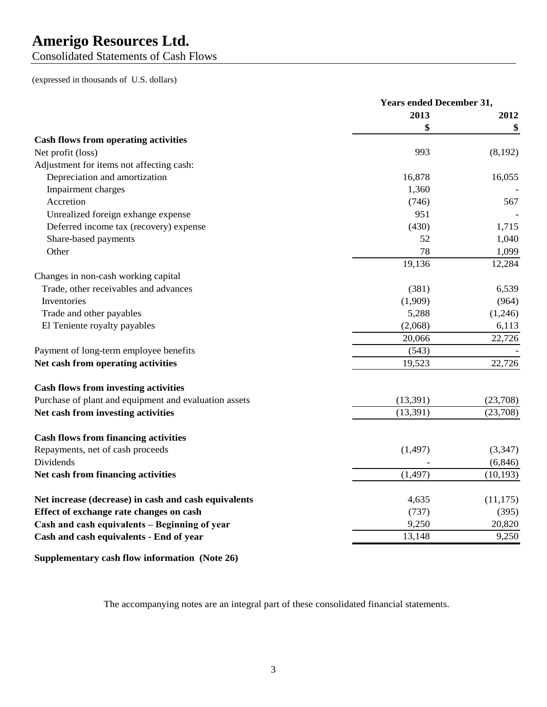Consolidated Statements of Cash Flows

(expressed in thousands of U.S. dollars)

|                                                       | <b>Years ended December 31,</b> |           |
|-------------------------------------------------------|---------------------------------|-----------|
|                                                       | 2013                            | 2012      |
|                                                       | \$                              | \$        |
| <b>Cash flows from operating activities</b>           |                                 |           |
| Net profit (loss)                                     | 993                             | (8,192)   |
| Adjustment for items not affecting cash:              |                                 |           |
| Depreciation and amortization                         | 16,878                          | 16,055    |
| Impairment charges                                    | 1,360                           |           |
| Accretion                                             | (746)                           | 567       |
| Unrealized foreign exhange expense                    | 951                             |           |
| Deferred income tax (recovery) expense                | (430)                           | 1,715     |
| Share-based payments                                  | 52                              | 1,040     |
| Other                                                 | 78                              | 1,099     |
|                                                       | 19,136                          | 12,284    |
| Changes in non-cash working capital                   |                                 |           |
| Trade, other receivables and advances                 | (381)                           | 6,539     |
| Inventories                                           | (1,909)                         | (964)     |
| Trade and other payables                              | 5,288                           | (1,246)   |
| El Teniente royalty payables                          | (2,068)                         | 6,113     |
|                                                       | 20,066                          | 22,726    |
| Payment of long-term employee benefits                | (543)                           |           |
| Net cash from operating activities                    | 19,523                          | 22,726    |
| <b>Cash flows from investing activities</b>           |                                 |           |
| Purchase of plant and equipment and evaluation assets | (13, 391)                       | (23,708)  |
| Net cash from investing activities                    | (13, 391)                       | (23,708)  |
| <b>Cash flows from financing activities</b>           |                                 |           |
| Repayments, net of cash proceeds                      | (1,497)                         | (3,347)   |
| Dividends                                             |                                 | (6, 846)  |
| Net cash from financing activities                    | (1, 497)                        | (10, 193) |
| Net increase (decrease) in cash and cash equivalents  | 4,635                           | (11, 175) |
| Effect of exchange rate changes on cash               | (737)                           | (395)     |
| Cash and cash equivalents - Beginning of year         | 9,250                           | 20,820    |
| Cash and cash equivalents - End of year               | 13,148                          | 9,250     |
|                                                       |                                 |           |

**Supplementary cash flow information (Note 26)**

The accompanying notes are an integral part of these consolidated financial statements.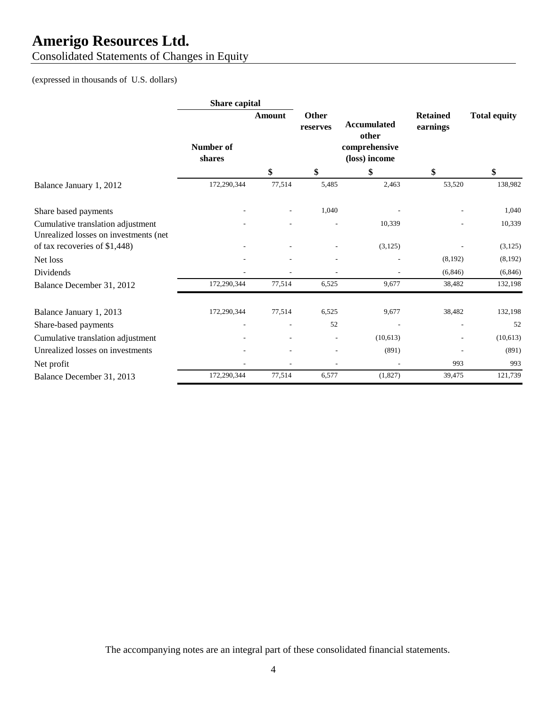Consolidated Statements of Changes in Equity

## (expressed in thousands of U.S. dollars)

|                                                                            | Share capital       |                |                   |                                                               |                             |                     |
|----------------------------------------------------------------------------|---------------------|----------------|-------------------|---------------------------------------------------------------|-----------------------------|---------------------|
|                                                                            | Number of<br>shares | Amount         | Other<br>reserves | <b>Accumulated</b><br>other<br>comprehensive<br>(loss) income | <b>Retained</b><br>earnings | <b>Total equity</b> |
|                                                                            |                     | \$             | \$                | \$                                                            | \$                          | \$                  |
| Balance January 1, 2012                                                    | 172,290,344         | 77,514         | 5,485             | 2,463                                                         | 53,520                      | 138,982             |
| Share based payments                                                       |                     |                | 1,040             |                                                               |                             | 1,040               |
| Cumulative translation adjustment<br>Unrealized losses on investments (net |                     |                |                   | 10,339                                                        |                             | 10,339              |
| of tax recoveries of \$1,448)                                              |                     |                |                   | (3,125)                                                       |                             | (3, 125)            |
| Net loss                                                                   |                     |                | $\overline{a}$    |                                                               | (8,192)                     | (8, 192)            |
| Dividends                                                                  |                     |                |                   |                                                               | (6, 846)                    | (6, 846)            |
| Balance December 31, 2012                                                  | 172,290,344         | 77,514         | 6,525             | 9,677                                                         | 38,482                      | 132,198             |
| Balance January 1, 2013                                                    | 172,290,344         | 77,514         | 6,525             | 9,677                                                         | 38,482                      | 132,198             |
| Share-based payments                                                       |                     | $\overline{a}$ | 52                |                                                               |                             | 52                  |
| Cumulative translation adjustment                                          |                     |                |                   | (10,613)                                                      |                             | (10,613)            |
| Unrealized losses on investments                                           |                     |                | ÷,                | (891)                                                         |                             | (891)               |
| Net profit                                                                 |                     |                |                   |                                                               | 993                         | 993                 |
| Balance December 31, 2013                                                  | 172,290,344         | 77,514         | 6,577             | (1,827)                                                       | 39,475                      | 121,739             |

The accompanying notes are an integral part of these consolidated financial statements.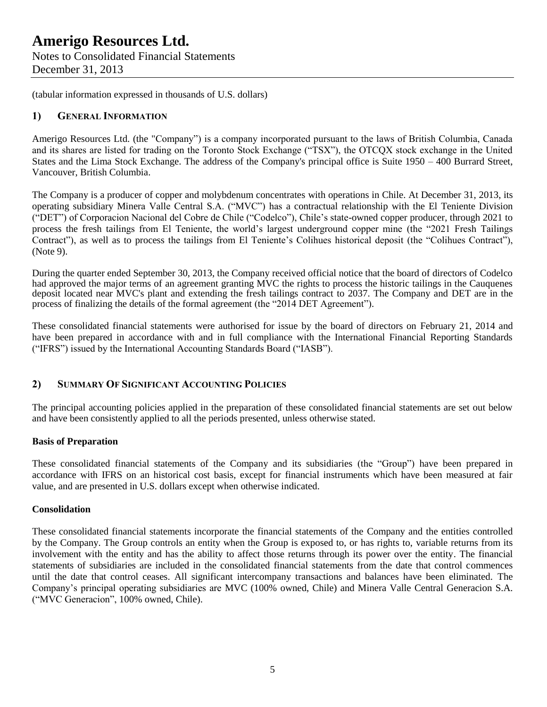Notes to Consolidated Financial Statements December 31, 2013

(tabular information expressed in thousands of U.S. dollars)

## **1) GENERAL INFORMATION**

Amerigo Resources Ltd. (the "Company") is a company incorporated pursuant to the laws of British Columbia, Canada and its shares are listed for trading on the Toronto Stock Exchange ("TSX"), the OTCQX stock exchange in the United States and the Lima Stock Exchange. The address of the Company's principal office is Suite 1950 – 400 Burrard Street, Vancouver, British Columbia.

The Company is a producer of copper and molybdenum concentrates with operations in Chile. At December 31, 2013, its operating subsidiary Minera Valle Central S.A. ("MVC") has a contractual relationship with the El Teniente Division ("DET") of Corporacion Nacional del Cobre de Chile ("Codelco"), Chile's state-owned copper producer, through 2021 to process the fresh tailings from El Teniente, the world's largest underground copper mine (the "2021 Fresh Tailings Contract"), as well as to process the tailings from El Teniente's Colihues historical deposit (the "Colihues Contract"), (Note 9).

During the quarter ended September 30, 2013, the Company received official notice that the board of directors of Codelco had approved the major terms of an agreement granting MVC the rights to process the historic tailings in the Cauquenes deposit located near MVC's plant and extending the fresh tailings contract to 2037. The Company and DET are in the process of finalizing the details of the formal agreement (the "2014 DET Agreement").

These consolidated financial statements were authorised for issue by the board of directors on February 21, 2014 and have been prepared in accordance with and in full compliance with the International Financial Reporting Standards ("IFRS") issued by the International Accounting Standards Board ("IASB").

## **2) SUMMARY OF SIGNIFICANT ACCOUNTING POLICIES**

The principal accounting policies applied in the preparation of these consolidated financial statements are set out below and have been consistently applied to all the periods presented, unless otherwise stated.

### **Basis of Preparation**

These consolidated financial statements of the Company and its subsidiaries (the "Group") have been prepared in accordance with IFRS on an historical cost basis, except for financial instruments which have been measured at fair value, and are presented in U.S. dollars except when otherwise indicated.

### **Consolidation**

These consolidated financial statements incorporate the financial statements of the Company and the entities controlled by the Company. The Group controls an entity when the Group is exposed to, or has rights to, variable returns from its involvement with the entity and has the ability to affect those returns through its power over the entity. The financial statements of subsidiaries are included in the consolidated financial statements from the date that control commences until the date that control ceases. All significant intercompany transactions and balances have been eliminated. The Company's principal operating subsidiaries are MVC (100% owned, Chile) and Minera Valle Central Generacion S.A. ("MVC Generacion", 100% owned, Chile).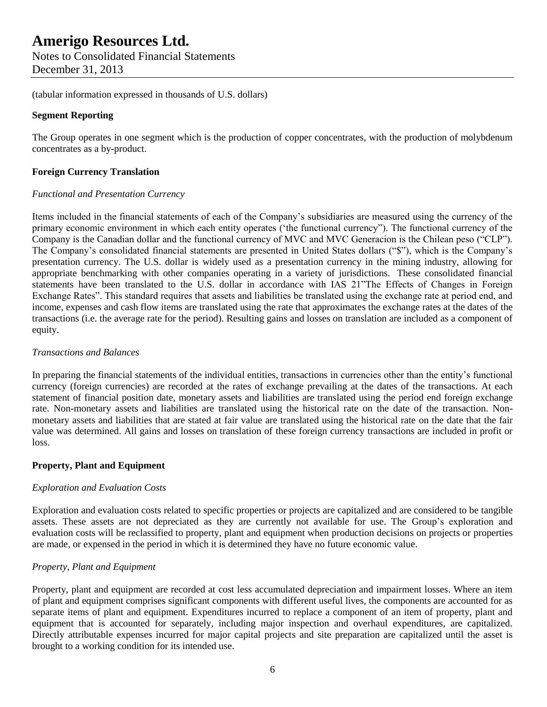Notes to Consolidated Financial Statements December 31, 2013

#### (tabular information expressed in thousands of U.S. dollars)

### **Segment Reporting**

The Group operates in one segment which is the production of copper concentrates, with the production of molybdenum concentrates as a by-product.

### **Foreign Currency Translation**

### *Functional and Presentation Currency*

Items included in the financial statements of each of the Company's subsidiaries are measured using the currency of the primary economic environment in which each entity operates ('the functional currency"). The functional currency of the Company is the Canadian dollar and the functional currency of MVC and MVC Generacion is the Chilean peso ("CLP"). The Company's consolidated financial statements are presented in United States dollars ("\$"), which is the Company's presentation currency. The U.S. dollar is widely used as a presentation currency in the mining industry, allowing for appropriate benchmarking with other companies operating in a variety of jurisdictions. These consolidated financial statements have been translated to the U.S. dollar in accordance with IAS 21"The Effects of Changes in Foreign Exchange Rates". This standard requires that assets and liabilities be translated using the exchange rate at period end, and income, expenses and cash flow items are translated using the rate that approximates the exchange rates at the dates of the transactions (i.e. the average rate for the period). Resulting gains and losses on translation are included as a component of equity.

#### *Transactions and Balances*

In preparing the financial statements of the individual entities, transactions in currencies other than the entity's functional currency (foreign currencies) are recorded at the rates of exchange prevailing at the dates of the transactions. At each statement of financial position date, monetary assets and liabilities are translated using the period end foreign exchange rate. Non-monetary assets and liabilities are translated using the historical rate on the date of the transaction. Nonmonetary assets and liabilities that are stated at fair value are translated using the historical rate on the date that the fair value was determined. All gains and losses on translation of these foreign currency transactions are included in profit or loss.

### **Property, Plant and Equipment**

### *Exploration and Evaluation Costs*

Exploration and evaluation costs related to specific properties or projects are capitalized and are considered to be tangible assets. These assets are not depreciated as they are currently not available for use. The Group's exploration and evaluation costs will be reclassified to property, plant and equipment when production decisions on projects or properties are made, or expensed in the period in which it is determined they have no future economic value.

### *Property, Plant and Equipment*

Property, plant and equipment are recorded at cost less accumulated depreciation and impairment losses. Where an item of plant and equipment comprises significant components with different useful lives, the components are accounted for as separate items of plant and equipment. Expenditures incurred to replace a component of an item of property, plant and equipment that is accounted for separately, including major inspection and overhaul expenditures, are capitalized. Directly attributable expenses incurred for major capital projects and site preparation are capitalized until the asset is brought to a working condition for its intended use.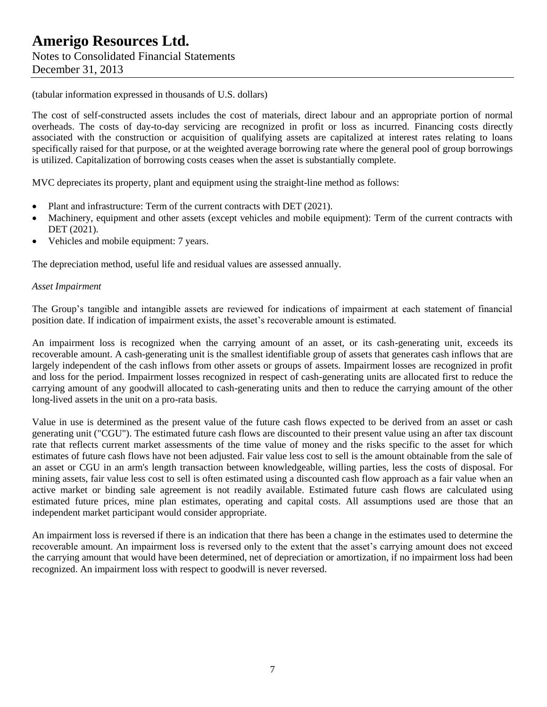## **Amerigo Resources Ltd.** Notes to Consolidated Financial Statements December 31, 2013

#### (tabular information expressed in thousands of U.S. dollars)

The cost of self-constructed assets includes the cost of materials, direct labour and an appropriate portion of normal overheads. The costs of day-to-day servicing are recognized in profit or loss as incurred. Financing costs directly associated with the construction or acquisition of qualifying assets are capitalized at interest rates relating to loans specifically raised for that purpose, or at the weighted average borrowing rate where the general pool of group borrowings is utilized. Capitalization of borrowing costs ceases when the asset is substantially complete.

MVC depreciates its property, plant and equipment using the straight-line method as follows:

- Plant and infrastructure: Term of the current contracts with DET (2021).
- Machinery, equipment and other assets (except vehicles and mobile equipment): Term of the current contracts with DET (2021).
- Vehicles and mobile equipment: 7 years.

The depreciation method, useful life and residual values are assessed annually.

#### *Asset Impairment*

The Group's tangible and intangible assets are reviewed for indications of impairment at each statement of financial position date. If indication of impairment exists, the asset's recoverable amount is estimated.

An impairment loss is recognized when the carrying amount of an asset, or its cash-generating unit, exceeds its recoverable amount. A cash-generating unit is the smallest identifiable group of assets that generates cash inflows that are largely independent of the cash inflows from other assets or groups of assets. Impairment losses are recognized in profit and loss for the period. Impairment losses recognized in respect of cash-generating units are allocated first to reduce the carrying amount of any goodwill allocated to cash-generating units and then to reduce the carrying amount of the other long-lived assets in the unit on a pro-rata basis.

Value in use is determined as the present value of the future cash flows expected to be derived from an asset or cash generating unit ("CGU"). The estimated future cash flows are discounted to their present value using an after tax discount rate that reflects current market assessments of the time value of money and the risks specific to the asset for which estimates of future cash flows have not been adjusted. Fair value less cost to sell is the amount obtainable from the sale of an asset or CGU in an arm's length transaction between knowledgeable, willing parties, less the costs of disposal. For mining assets, fair value less cost to sell is often estimated using a discounted cash flow approach as a fair value when an active market or binding sale agreement is not readily available. Estimated future cash flows are calculated using estimated future prices, mine plan estimates, operating and capital costs. All assumptions used are those that an independent market participant would consider appropriate.

An impairment loss is reversed if there is an indication that there has been a change in the estimates used to determine the recoverable amount. An impairment loss is reversed only to the extent that the asset's carrying amount does not exceed the carrying amount that would have been determined, net of depreciation or amortization, if no impairment loss had been recognized. An impairment loss with respect to goodwill is never reversed.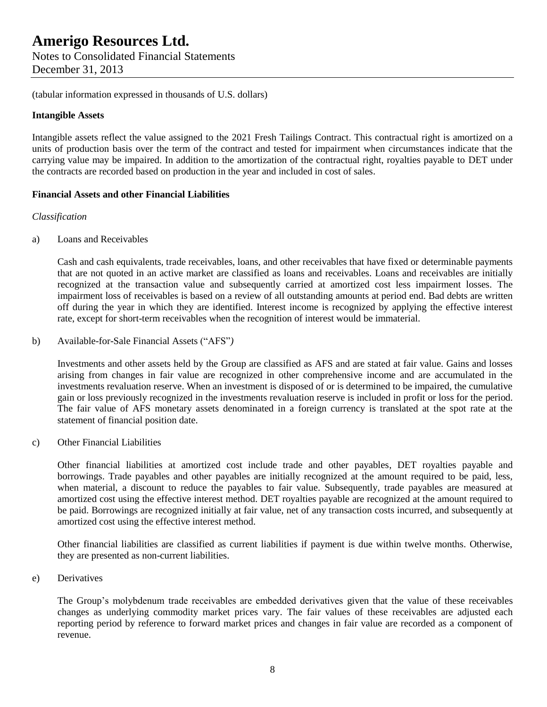Notes to Consolidated Financial Statements December 31, 2013

(tabular information expressed in thousands of U.S. dollars)

#### **Intangible Assets**

Intangible assets reflect the value assigned to the 2021 Fresh Tailings Contract. This contractual right is amortized on a units of production basis over the term of the contract and tested for impairment when circumstances indicate that the carrying value may be impaired. In addition to the amortization of the contractual right, royalties payable to DET under the contracts are recorded based on production in the year and included in cost of sales.

### **Financial Assets and other Financial Liabilities**

#### *Classification*

a) Loans and Receivables

Cash and cash equivalents, trade receivables, loans, and other receivables that have fixed or determinable payments that are not quoted in an active market are classified as loans and receivables. Loans and receivables are initially recognized at the transaction value and subsequently carried at amortized cost less impairment losses. The impairment loss of receivables is based on a review of all outstanding amounts at period end. Bad debts are written off during the year in which they are identified. Interest income is recognized by applying the effective interest rate, except for short-term receivables when the recognition of interest would be immaterial.

b) Available-for-Sale Financial Assets ("AFS"*)*

Investments and other assets held by the Group are classified as AFS and are stated at fair value. Gains and losses arising from changes in fair value are recognized in other comprehensive income and are accumulated in the investments revaluation reserve. When an investment is disposed of or is determined to be impaired, the cumulative gain or loss previously recognized in the investments revaluation reserve is included in profit or loss for the period. The fair value of AFS monetary assets denominated in a foreign currency is translated at the spot rate at the statement of financial position date.

c) Other Financial Liabilities

Other financial liabilities at amortized cost include trade and other payables, DET royalties payable and borrowings. Trade payables and other payables are initially recognized at the amount required to be paid, less, when material, a discount to reduce the payables to fair value. Subsequently, trade payables are measured at amortized cost using the effective interest method. DET royalties payable are recognized at the amount required to be paid. Borrowings are recognized initially at fair value, net of any transaction costs incurred, and subsequently at amortized cost using the effective interest method.

Other financial liabilities are classified as current liabilities if payment is due within twelve months. Otherwise, they are presented as non-current liabilities.

e) Derivatives

The Group's molybdenum trade receivables are embedded derivatives given that the value of these receivables changes as underlying commodity market prices vary. The fair values of these receivables are adjusted each reporting period by reference to forward market prices and changes in fair value are recorded as a component of revenue.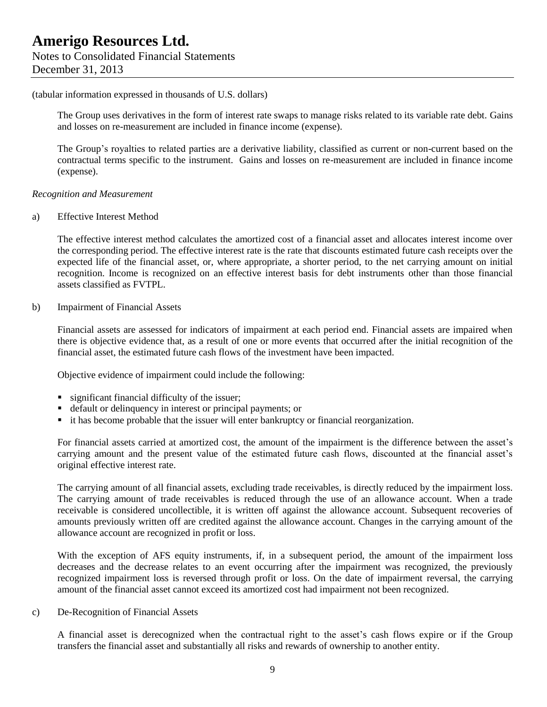#### (tabular information expressed in thousands of U.S. dollars)

The Group uses derivatives in the form of interest rate swaps to manage risks related to its variable rate debt. Gains and losses on re-measurement are included in finance income (expense).

The Group's royalties to related parties are a derivative liability, classified as current or non-current based on the contractual terms specific to the instrument. Gains and losses on re-measurement are included in finance income (expense).

#### *Recognition and Measurement*

a) Effective Interest Method

The effective interest method calculates the amortized cost of a financial asset and allocates interest income over the corresponding period. The effective interest rate is the rate that discounts estimated future cash receipts over the expected life of the financial asset, or, where appropriate, a shorter period, to the net carrying amount on initial recognition. Income is recognized on an effective interest basis for debt instruments other than those financial assets classified as FVTPL.

b) Impairment of Financial Assets

Financial assets are assessed for indicators of impairment at each period end. Financial assets are impaired when there is objective evidence that, as a result of one or more events that occurred after the initial recognition of the financial asset, the estimated future cash flows of the investment have been impacted.

Objective evidence of impairment could include the following:

- significant financial difficulty of the issuer;
- default or delinquency in interest or principal payments; or
- it has become probable that the issuer will enter bankruptcy or financial reorganization.

For financial assets carried at amortized cost, the amount of the impairment is the difference between the asset's carrying amount and the present value of the estimated future cash flows, discounted at the financial asset's original effective interest rate.

The carrying amount of all financial assets, excluding trade receivables, is directly reduced by the impairment loss. The carrying amount of trade receivables is reduced through the use of an allowance account. When a trade receivable is considered uncollectible, it is written off against the allowance account. Subsequent recoveries of amounts previously written off are credited against the allowance account. Changes in the carrying amount of the allowance account are recognized in profit or loss.

With the exception of AFS equity instruments, if, in a subsequent period, the amount of the impairment loss decreases and the decrease relates to an event occurring after the impairment was recognized, the previously recognized impairment loss is reversed through profit or loss. On the date of impairment reversal, the carrying amount of the financial asset cannot exceed its amortized cost had impairment not been recognized.

c) De-Recognition of Financial Assets

A financial asset is derecognized when the contractual right to the asset's cash flows expire or if the Group transfers the financial asset and substantially all risks and rewards of ownership to another entity.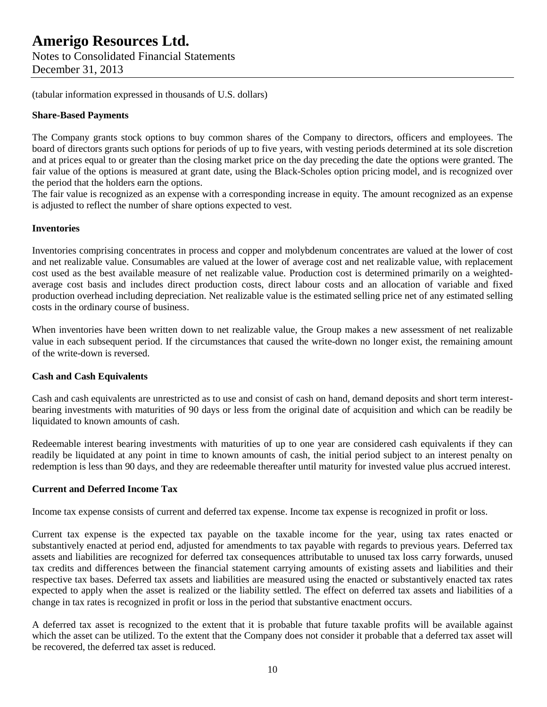Notes to Consolidated Financial Statements December 31, 2013

(tabular information expressed in thousands of U.S. dollars)

### **Share-Based Payments**

The Company grants stock options to buy common shares of the Company to directors, officers and employees. The board of directors grants such options for periods of up to five years, with vesting periods determined at its sole discretion and at prices equal to or greater than the closing market price on the day preceding the date the options were granted. The fair value of the options is measured at grant date, using the Black-Scholes option pricing model, and is recognized over the period that the holders earn the options.

The fair value is recognized as an expense with a corresponding increase in equity. The amount recognized as an expense is adjusted to reflect the number of share options expected to vest.

### **Inventories**

Inventories comprising concentrates in process and copper and molybdenum concentrates are valued at the lower of cost and net realizable value. Consumables are valued at the lower of average cost and net realizable value, with replacement cost used as the best available measure of net realizable value. Production cost is determined primarily on a weightedaverage cost basis and includes direct production costs, direct labour costs and an allocation of variable and fixed production overhead including depreciation. Net realizable value is the estimated selling price net of any estimated selling costs in the ordinary course of business.

When inventories have been written down to net realizable value, the Group makes a new assessment of net realizable value in each subsequent period. If the circumstances that caused the write-down no longer exist, the remaining amount of the write-down is reversed.

### **Cash and Cash Equivalents**

Cash and cash equivalents are unrestricted as to use and consist of cash on hand, demand deposits and short term interestbearing investments with maturities of 90 days or less from the original date of acquisition and which can be readily be liquidated to known amounts of cash.

Redeemable interest bearing investments with maturities of up to one year are considered cash equivalents if they can readily be liquidated at any point in time to known amounts of cash, the initial period subject to an interest penalty on redemption is less than 90 days, and they are redeemable thereafter until maturity for invested value plus accrued interest.

### **Current and Deferred Income Tax**

Income tax expense consists of current and deferred tax expense. Income tax expense is recognized in profit or loss.

Current tax expense is the expected tax payable on the taxable income for the year, using tax rates enacted or substantively enacted at period end, adjusted for amendments to tax payable with regards to previous years. Deferred tax assets and liabilities are recognized for deferred tax consequences attributable to unused tax loss carry forwards, unused tax credits and differences between the financial statement carrying amounts of existing assets and liabilities and their respective tax bases. Deferred tax assets and liabilities are measured using the enacted or substantively enacted tax rates expected to apply when the asset is realized or the liability settled. The effect on deferred tax assets and liabilities of a change in tax rates is recognized in profit or loss in the period that substantive enactment occurs.

A deferred tax asset is recognized to the extent that it is probable that future taxable profits will be available against which the asset can be utilized. To the extent that the Company does not consider it probable that a deferred tax asset will be recovered, the deferred tax asset is reduced.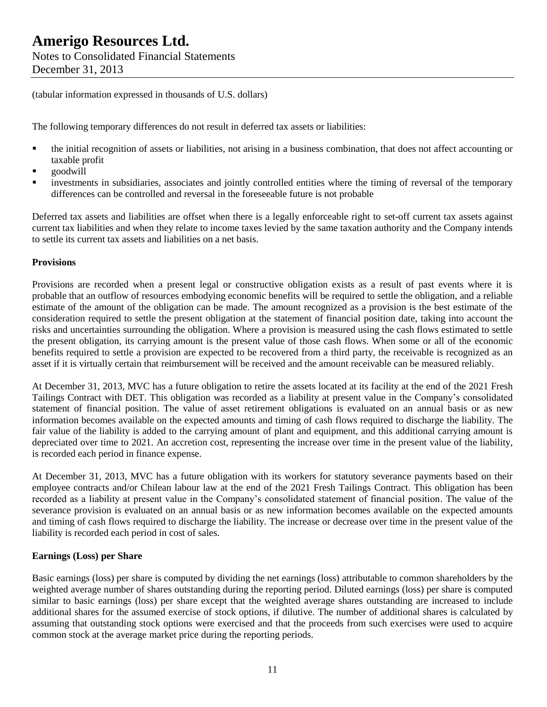## **Amerigo Resources Ltd.** Notes to Consolidated Financial Statements

December 31, 2013

(tabular information expressed in thousands of U.S. dollars)

The following temporary differences do not result in deferred tax assets or liabilities:

- the initial recognition of assets or liabilities, not arising in a business combination, that does not affect accounting or taxable profit
- goodwill
- investments in subsidiaries, associates and jointly controlled entities where the timing of reversal of the temporary differences can be controlled and reversal in the foreseeable future is not probable

Deferred tax assets and liabilities are offset when there is a legally enforceable right to set-off current tax assets against current tax liabilities and when they relate to income taxes levied by the same taxation authority and the Company intends to settle its current tax assets and liabilities on a net basis.

#### **Provisions**

Provisions are recorded when a present legal or constructive obligation exists as a result of past events where it is probable that an outflow of resources embodying economic benefits will be required to settle the obligation, and a reliable estimate of the amount of the obligation can be made. The amount recognized as a provision is the best estimate of the consideration required to settle the present obligation at the statement of financial position date, taking into account the risks and uncertainties surrounding the obligation. Where a provision is measured using the cash flows estimated to settle the present obligation, its carrying amount is the present value of those cash flows. When some or all of the economic benefits required to settle a provision are expected to be recovered from a third party, the receivable is recognized as an asset if it is virtually certain that reimbursement will be received and the amount receivable can be measured reliably.

At December 31, 2013, MVC has a future obligation to retire the assets located at its facility at the end of the 2021 Fresh Tailings Contract with DET. This obligation was recorded as a liability at present value in the Company's consolidated statement of financial position. The value of asset retirement obligations is evaluated on an annual basis or as new information becomes available on the expected amounts and timing of cash flows required to discharge the liability. The fair value of the liability is added to the carrying amount of plant and equipment, and this additional carrying amount is depreciated over time to 2021. An accretion cost, representing the increase over time in the present value of the liability, is recorded each period in finance expense.

At December 31, 2013, MVC has a future obligation with its workers for statutory severance payments based on their employee contracts and/or Chilean labour law at the end of the 2021 Fresh Tailings Contract. This obligation has been recorded as a liability at present value in the Company's consolidated statement of financial position. The value of the severance provision is evaluated on an annual basis or as new information becomes available on the expected amounts and timing of cash flows required to discharge the liability. The increase or decrease over time in the present value of the liability is recorded each period in cost of sales.

### **Earnings (Loss) per Share**

Basic earnings (loss) per share is computed by dividing the net earnings (loss) attributable to common shareholders by the weighted average number of shares outstanding during the reporting period. Diluted earnings (loss) per share is computed similar to basic earnings (loss) per share except that the weighted average shares outstanding are increased to include additional shares for the assumed exercise of stock options, if dilutive. The number of additional shares is calculated by assuming that outstanding stock options were exercised and that the proceeds from such exercises were used to acquire common stock at the average market price during the reporting periods.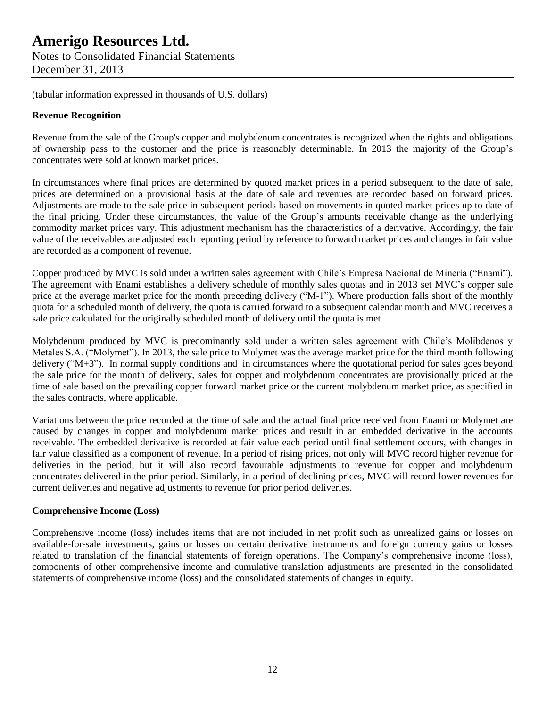Notes to Consolidated Financial Statements December 31, 2013

(tabular information expressed in thousands of U.S. dollars)

### **Revenue Recognition**

Revenue from the sale of the Group's copper and molybdenum concentrates is recognized when the rights and obligations of ownership pass to the customer and the price is reasonably determinable. In 2013 the majority of the Group's concentrates were sold at known market prices.

In circumstances where final prices are determined by quoted market prices in a period subsequent to the date of sale, prices are determined on a provisional basis at the date of sale and revenues are recorded based on forward prices. Adjustments are made to the sale price in subsequent periods based on movements in quoted market prices up to date of the final pricing. Under these circumstances, the value of the Group's amounts receivable change as the underlying commodity market prices vary. This adjustment mechanism has the characteristics of a derivative. Accordingly, the fair value of the receivables are adjusted each reporting period by reference to forward market prices and changes in fair value are recorded as a component of revenue.

Copper produced by MVC is sold under a written sales agreement with Chile's Empresa Nacional de Minería ("Enami"). The agreement with Enami establishes a delivery schedule of monthly sales quotas and in 2013 set MVC's copper sale price at the average market price for the month preceding delivery ("M-1"). Where production falls short of the monthly quota for a scheduled month of delivery, the quota is carried forward to a subsequent calendar month and MVC receives a sale price calculated for the originally scheduled month of delivery until the quota is met.

Molybdenum produced by MVC is predominantly sold under a written sales agreement with Chile's Molibdenos y Metales S.A. ("Molymet"). In 2013, the sale price to Molymet was the average market price for the third month following delivery ("M+3"). In normal supply conditions and in circumstances where the quotational period for sales goes beyond the sale price for the month of delivery, sales for copper and molybdenum concentrates are provisionally priced at the time of sale based on the prevailing copper forward market price or the current molybdenum market price, as specified in the sales contracts, where applicable.

Variations between the price recorded at the time of sale and the actual final price received from Enami or Molymet are caused by changes in copper and molybdenum market prices and result in an embedded derivative in the accounts receivable. The embedded derivative is recorded at fair value each period until final settlement occurs, with changes in fair value classified as a component of revenue. In a period of rising prices, not only will MVC record higher revenue for deliveries in the period, but it will also record favourable adjustments to revenue for copper and molybdenum concentrates delivered in the prior period. Similarly, in a period of declining prices, MVC will record lower revenues for current deliveries and negative adjustments to revenue for prior period deliveries.

### **Comprehensive Income (Loss)**

Comprehensive income (loss) includes items that are not included in net profit such as unrealized gains or losses on available-for-sale investments, gains or losses on certain derivative instruments and foreign currency gains or losses related to translation of the financial statements of foreign operations. The Company's comprehensive income (loss), components of other comprehensive income and cumulative translation adjustments are presented in the consolidated statements of comprehensive income (loss) and the consolidated statements of changes in equity.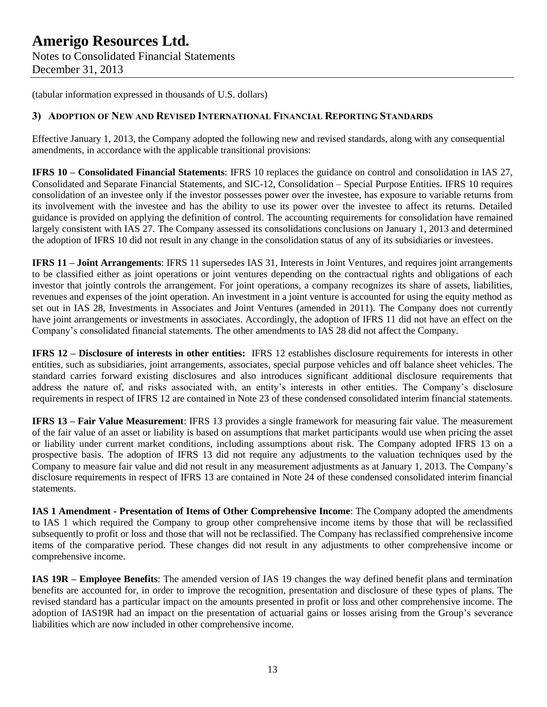(tabular information expressed in thousands of U.S. dollars)

### **3) ADOPTION OF NEW AND REVISED INTERNATIONAL FINANCIAL REPORTING STANDARDS**

Effective January 1, 2013, the Company adopted the following new and revised standards, along with any consequential amendments, in accordance with the applicable transitional provisions:

**IFRS 10 – Consolidated Financial Statements**: IFRS 10 replaces the guidance on control and consolidation in IAS 27, Consolidated and Separate Financial Statements, and SIC-12, Consolidation – Special Purpose Entities. IFRS 10 requires consolidation of an investee only if the investor possesses power over the investee, has exposure to variable returns from its involvement with the investee and has the ability to use its power over the investee to affect its returns. Detailed guidance is provided on applying the definition of control. The accounting requirements for consolidation have remained largely consistent with IAS 27. The Company assessed its consolidations conclusions on January 1, 2013 and determined the adoption of IFRS 10 did not result in any change in the consolidation status of any of its subsidiaries or investees.

**IFRS 11 – Joint Arrangements**: IFRS 11 supersedes IAS 31, Interests in Joint Ventures, and requires joint arrangements to be classified either as joint operations or joint ventures depending on the contractual rights and obligations of each investor that jointly controls the arrangement. For joint operations, a company recognizes its share of assets, liabilities, revenues and expenses of the joint operation. An investment in a joint venture is accounted for using the equity method as set out in IAS 28, Investments in Associates and Joint Ventures (amended in 2011). The Company does not currently have joint arrangements or investments in associates. Accordingly, the adoption of IFRS 11 did not have an effect on the Company's consolidated financial statements. The other amendments to IAS 28 did not affect the Company.

**IFRS 12 – Disclosure of interests in other entities:** IFRS 12 establishes disclosure requirements for interests in other entities, such as subsidiaries, joint arrangements, associates, special purpose vehicles and off balance sheet vehicles. The standard carries forward existing disclosures and also introduces significant additional disclosure requirements that address the nature of, and risks associated with, an entity's interests in other entities. The Company's disclosure requirements in respect of IFRS 12 are contained in Note 23 of these condensed consolidated interim financial statements.

**IFRS 13 – Fair Value Measurement**: IFRS 13 provides a single framework for measuring fair value. The measurement of the fair value of an asset or liability is based on assumptions that market participants would use when pricing the asset or liability under current market conditions, including assumptions about risk. The Company adopted IFRS 13 on a prospective basis. The adoption of IFRS 13 did not require any adjustments to the valuation techniques used by the Company to measure fair value and did not result in any measurement adjustments as at January 1, 2013. The Company's disclosure requirements in respect of IFRS 13 are contained in Note 24 of these condensed consolidated interim financial statements.

**IAS 1 Amendment - Presentation of Items of Other Comprehensive Income**: The Company adopted the amendments to IAS 1 which required the Company to group other comprehensive income items by those that will be reclassified subsequently to profit or loss and those that will not be reclassified. The Company has reclassified comprehensive income items of the comparative period. These changes did not result in any adjustments to other comprehensive income or comprehensive income.

**IAS 19R – Employee Benefits**: The amended version of IAS 19 changes the way defined benefit plans and termination benefits are accounted for, in order to improve the recognition, presentation and disclosure of these types of plans. The revised standard has a particular impact on the amounts presented in profit or loss and other comprehensive income. The adoption of IAS19R had an impact on the presentation of actuarial gains or losses arising from the Group's severance liabilities which are now included in other comprehensive income.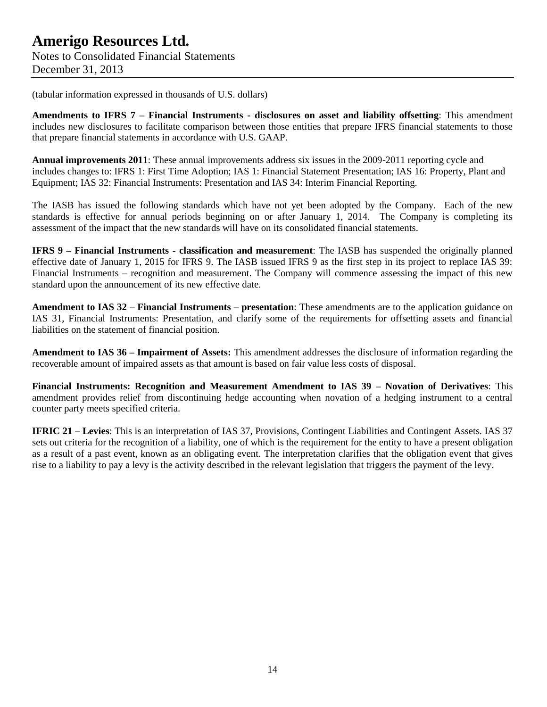(tabular information expressed in thousands of U.S. dollars)

**Amendments to IFRS 7 – Financial Instruments - disclosures on asset and liability offsetting**: This amendment includes new disclosures to facilitate comparison between those entities that prepare IFRS financial statements to those that prepare financial statements in accordance with U.S. GAAP.

**Annual improvements 2011**: These annual improvements address six issues in the 2009-2011 reporting cycle and includes changes to: IFRS 1: First Time Adoption; IAS 1: Financial Statement Presentation; IAS 16: Property, Plant and Equipment; IAS 32: Financial Instruments: Presentation and IAS 34: Interim Financial Reporting.

The IASB has issued the following standards which have not yet been adopted by the Company. Each of the new standards is effective for annual periods beginning on or after January 1, 2014. The Company is completing its assessment of the impact that the new standards will have on its consolidated financial statements.

**IFRS 9 – Financial Instruments - classification and measurement**: The IASB has suspended the originally planned effective date of January 1, 2015 for IFRS 9. The IASB issued IFRS 9 as the first step in its project to replace IAS 39: Financial Instruments – recognition and measurement. The Company will commence assessing the impact of this new standard upon the announcement of its new effective date.

**Amendment to IAS 32 – Financial Instruments – presentation**: These amendments are to the application guidance on IAS 31, Financial Instruments: Presentation, and clarify some of the requirements for offsetting assets and financial liabilities on the statement of financial position.

**Amendment to IAS 36 – Impairment of Assets:** This amendment addresses the disclosure of information regarding the recoverable amount of impaired assets as that amount is based on fair value less costs of disposal.

**Financial Instruments: Recognition and Measurement Amendment to IAS 39 – Novation of Derivatives**: This amendment provides relief from discontinuing hedge accounting when novation of a hedging instrument to a central counter party meets specified criteria.

**IFRIC 21 – Levies**: This is an interpretation of IAS 37, Provisions, Contingent Liabilities and Contingent Assets. IAS 37 sets out criteria for the recognition of a liability, one of which is the requirement for the entity to have a present obligation as a result of a past event, known as an obligating event. The interpretation clarifies that the obligation event that gives rise to a liability to pay a levy is the activity described in the relevant legislation that triggers the payment of the levy.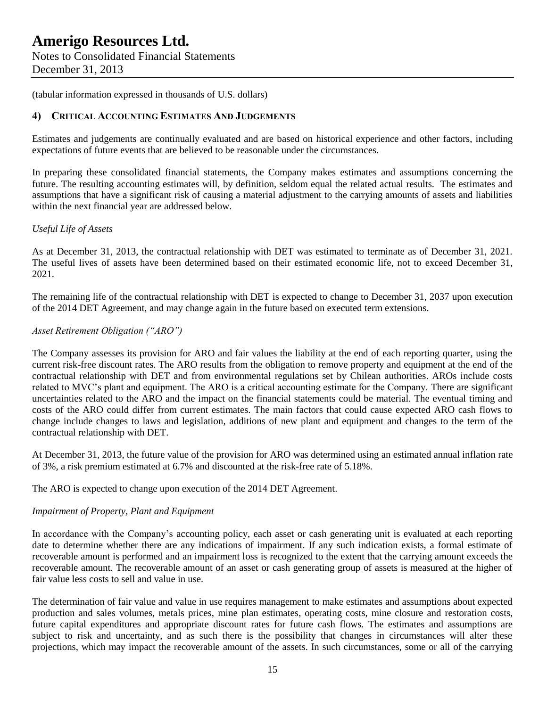## **Amerigo Resources Ltd.** Notes to Consolidated Financial Statements

December 31, 2013

(tabular information expressed in thousands of U.S. dollars)

## **4) CRITICAL ACCOUNTING ESTIMATES AND JUDGEMENTS**

Estimates and judgements are continually evaluated and are based on historical experience and other factors, including expectations of future events that are believed to be reasonable under the circumstances.

In preparing these consolidated financial statements, the Company makes estimates and assumptions concerning the future. The resulting accounting estimates will, by definition, seldom equal the related actual results. The estimates and assumptions that have a significant risk of causing a material adjustment to the carrying amounts of assets and liabilities within the next financial year are addressed below.

### *Useful Life of Assets*

As at December 31, 2013, the contractual relationship with DET was estimated to terminate as of December 31, 2021. The useful lives of assets have been determined based on their estimated economic life, not to exceed December 31, 2021.

The remaining life of the contractual relationship with DET is expected to change to December 31, 2037 upon execution of the 2014 DET Agreement, and may change again in the future based on executed term extensions.

#### *Asset Retirement Obligation ("ARO")*

The Company assesses its provision for ARO and fair values the liability at the end of each reporting quarter, using the current risk-free discount rates. The ARO results from the obligation to remove property and equipment at the end of the contractual relationship with DET and from environmental regulations set by Chilean authorities. AROs include costs related to MVC's plant and equipment. The ARO is a critical accounting estimate for the Company. There are significant uncertainties related to the ARO and the impact on the financial statements could be material. The eventual timing and costs of the ARO could differ from current estimates. The main factors that could cause expected ARO cash flows to change include changes to laws and legislation, additions of new plant and equipment and changes to the term of the contractual relationship with DET.

At December 31, 2013, the future value of the provision for ARO was determined using an estimated annual inflation rate of 3%, a risk premium estimated at 6.7% and discounted at the risk-free rate of 5.18%.

The ARO is expected to change upon execution of the 2014 DET Agreement.

### *Impairment of Property, Plant and Equipment*

In accordance with the Company's accounting policy, each asset or cash generating unit is evaluated at each reporting date to determine whether there are any indications of impairment. If any such indication exists, a formal estimate of recoverable amount is performed and an impairment loss is recognized to the extent that the carrying amount exceeds the recoverable amount. The recoverable amount of an asset or cash generating group of assets is measured at the higher of fair value less costs to sell and value in use.

The determination of fair value and value in use requires management to make estimates and assumptions about expected production and sales volumes, metals prices, mine plan estimates, operating costs, mine closure and restoration costs, future capital expenditures and appropriate discount rates for future cash flows. The estimates and assumptions are subject to risk and uncertainty, and as such there is the possibility that changes in circumstances will alter these projections, which may impact the recoverable amount of the assets. In such circumstances, some or all of the carrying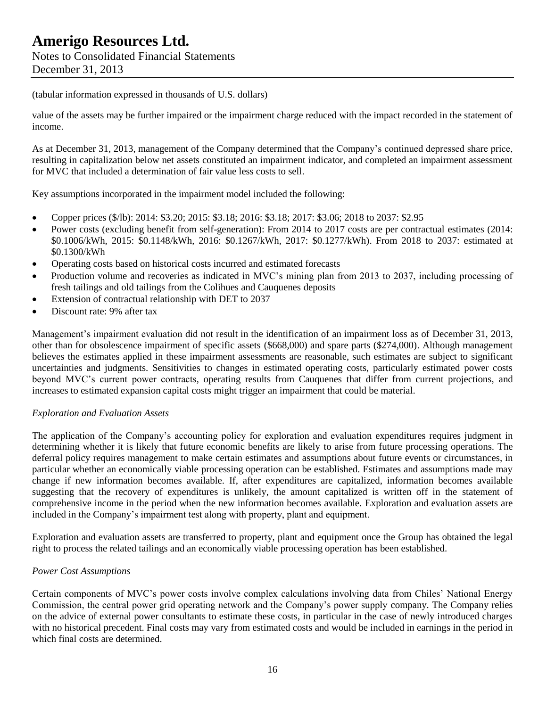Notes to Consolidated Financial Statements December 31, 2013

### (tabular information expressed in thousands of U.S. dollars)

value of the assets may be further impaired or the impairment charge reduced with the impact recorded in the statement of income.

As at December 31, 2013, management of the Company determined that the Company's continued depressed share price, resulting in capitalization below net assets constituted an impairment indicator, and completed an impairment assessment for MVC that included a determination of fair value less costs to sell.

Key assumptions incorporated in the impairment model included the following:

- Copper prices (\$/lb): 2014: \$3.20; 2015: \$3.18; 2016: \$3.18; 2017: \$3.06; 2018 to 2037: \$2.95
- Power costs (excluding benefit from self-generation): From 2014 to 2017 costs are per contractual estimates (2014: \$0.1006/kWh, 2015: \$0.1148/kWh, 2016: \$0.1267/kWh, 2017: \$0.1277/kWh). From 2018 to 2037: estimated at \$0.1300/kWh
- Operating costs based on historical costs incurred and estimated forecasts
- Production volume and recoveries as indicated in MVC's mining plan from 2013 to 2037, including processing of fresh tailings and old tailings from the Colihues and Cauquenes deposits
- Extension of contractual relationship with DET to 2037
- Discount rate: 9% after tax

Management's impairment evaluation did not result in the identification of an impairment loss as of December 31, 2013, other than for obsolescence impairment of specific assets (\$668,000) and spare parts (\$274,000). Although management believes the estimates applied in these impairment assessments are reasonable, such estimates are subject to significant uncertainties and judgments. Sensitivities to changes in estimated operating costs, particularly estimated power costs beyond MVC's current power contracts, operating results from Cauquenes that differ from current projections, and increases to estimated expansion capital costs might trigger an impairment that could be material.

### *Exploration and Evaluation Assets*

The application of the Company's accounting policy for exploration and evaluation expenditures requires judgment in determining whether it is likely that future economic benefits are likely to arise from future processing operations. The deferral policy requires management to make certain estimates and assumptions about future events or circumstances, in particular whether an economically viable processing operation can be established. Estimates and assumptions made may change if new information becomes available. If, after expenditures are capitalized, information becomes available suggesting that the recovery of expenditures is unlikely, the amount capitalized is written off in the statement of comprehensive income in the period when the new information becomes available. Exploration and evaluation assets are included in the Company's impairment test along with property, plant and equipment.

Exploration and evaluation assets are transferred to property, plant and equipment once the Group has obtained the legal right to process the related tailings and an economically viable processing operation has been established.

### *Power Cost Assumptions*

Certain components of MVC's power costs involve complex calculations involving data from Chiles' National Energy Commission, the central power grid operating network and the Company's power supply company. The Company relies on the advice of external power consultants to estimate these costs, in particular in the case of newly introduced charges with no historical precedent. Final costs may vary from estimated costs and would be included in earnings in the period in which final costs are determined.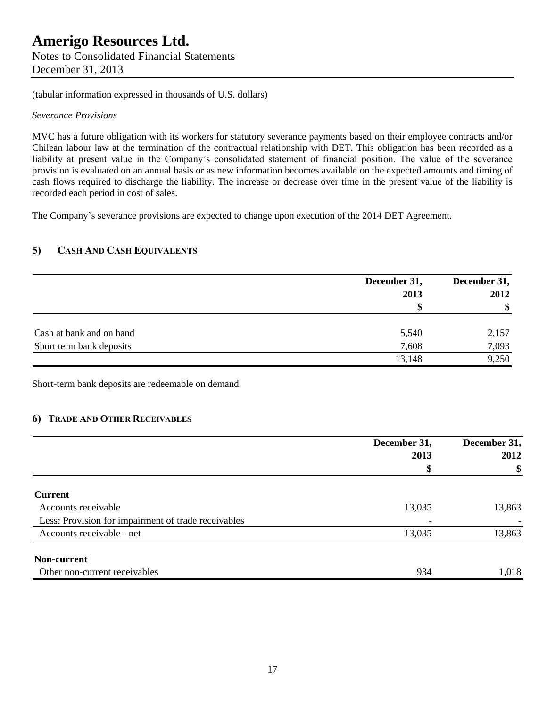Notes to Consolidated Financial Statements December 31, 2013

(tabular information expressed in thousands of U.S. dollars)

#### *Severance Provisions*

MVC has a future obligation with its workers for statutory severance payments based on their employee contracts and/or Chilean labour law at the termination of the contractual relationship with DET. This obligation has been recorded as a liability at present value in the Company's consolidated statement of financial position. The value of the severance provision is evaluated on an annual basis or as new information becomes available on the expected amounts and timing of cash flows required to discharge the liability. The increase or decrease over time in the present value of the liability is recorded each period in cost of sales.

The Company's severance provisions are expected to change upon execution of the 2014 DET Agreement.

## **5) CASH AND CASH EQUIVALENTS**

|                          | December 31, | December 31,<br>2012<br>\$ |
|--------------------------|--------------|----------------------------|
|                          | 2013<br>S    |                            |
|                          |              |                            |
| Cash at bank and on hand | 5,540        | 2,157                      |
| Short term bank deposits | 7,608        | 7,093                      |
|                          | 13,148       | 9,250                      |

Short-term bank deposits are redeemable on demand.

### **6) TRADE AND OTHER RECEIVABLES**

|                                                     | December 31, | December 31, |  |
|-----------------------------------------------------|--------------|--------------|--|
|                                                     | 2013         | 2012         |  |
|                                                     | \$           | \$           |  |
| <b>Current</b>                                      |              |              |  |
| Accounts receivable                                 | 13,035       | 13,863       |  |
| Less: Provision for impairment of trade receivables |              |              |  |
| Accounts receivable - net                           | 13,035       | 13,863       |  |
| Non-current                                         |              |              |  |
| Other non-current receivables                       | 934          | 1,018        |  |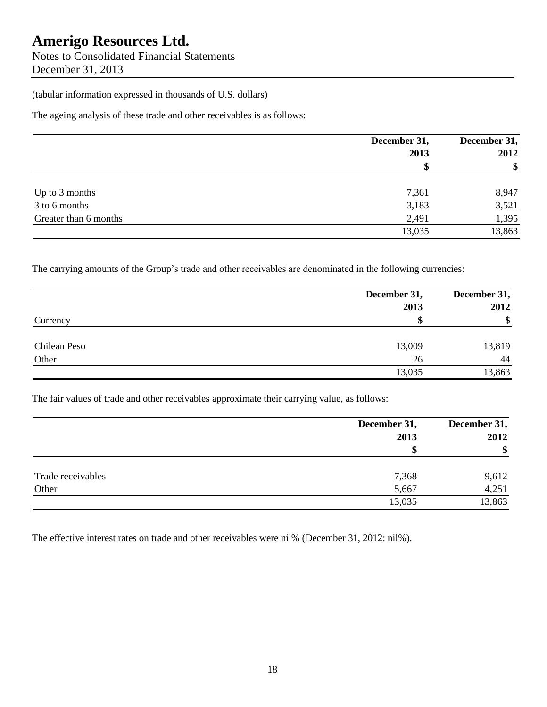Notes to Consolidated Financial Statements December 31, 2013

(tabular information expressed in thousands of U.S. dollars)

The ageing analysis of these trade and other receivables is as follows:

|                       | December 31, | December 31, |  |
|-----------------------|--------------|--------------|--|
|                       | 2013         | 2012         |  |
|                       |              | \$           |  |
| Up to 3 months        | 7,361        | 8,947        |  |
| 3 to 6 months         | 3,183        | 3,521        |  |
| Greater than 6 months | 2,491        | 1,395        |  |
|                       | 13,035       | 13,863       |  |

The carrying amounts of the Group's trade and other receivables are denominated in the following currencies:

|              | December 31, | December 31, |
|--------------|--------------|--------------|
|              | 2013         | 2012         |
| Currency     |              | \$           |
| Chilean Peso | 13,009       | 13,819       |
| Other        | 26           | 44           |
|              | 13,035       | 13,863       |

The fair values of trade and other receivables approximate their carrying value, as follows:

|                   | December 31, | December 31,      |
|-------------------|--------------|-------------------|
|                   | 2013         | 2012              |
|                   | S            | $\boldsymbol{\$}$ |
| Trade receivables | 7,368        | 9,612             |
| Other             | 5,667        | 4,251             |
|                   | 13,035       | 13,863            |

The effective interest rates on trade and other receivables were nil% (December 31, 2012: nil%).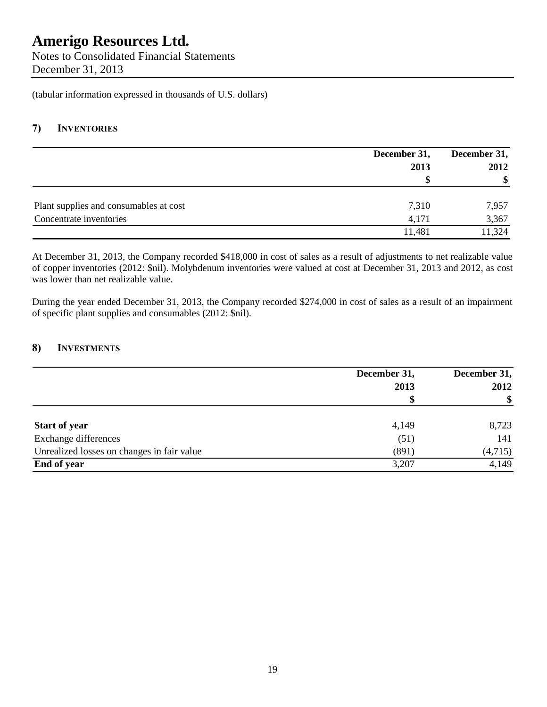Notes to Consolidated Financial Statements December 31, 2013

(tabular information expressed in thousands of U.S. dollars)

## **7) INVENTORIES**

|                                        | December 31,<br>2013<br>S | December 31,<br>2012<br>\$ |
|----------------------------------------|---------------------------|----------------------------|
| Plant supplies and consumables at cost | 7,310                     | 7,957                      |
| Concentrate inventories                | 4,171                     | 3,367                      |
|                                        | 11,481                    | 11,324                     |

At December 31, 2013, the Company recorded \$418,000 in cost of sales as a result of adjustments to net realizable value of copper inventories (2012: \$nil). Molybdenum inventories were valued at cost at December 31, 2013 and 2012, as cost was lower than net realizable value.

During the year ended December 31, 2013, the Company recorded \$274,000 in cost of sales as a result of an impairment of specific plant supplies and consumables (2012: \$nil).

### **8) INVESTMENTS**

|                                            | December 31, | December 31,      |      |
|--------------------------------------------|--------------|-------------------|------|
|                                            | 2013         |                   | 2012 |
|                                            |              | $\boldsymbol{\$}$ |      |
| <b>Start of year</b>                       | 4,149        | 8,723             |      |
| Exchange differences                       | (51)         | 141               |      |
| Unrealized losses on changes in fair value | (891)        | (4,715)           |      |
| End of year                                | 3,207        | 4,149             |      |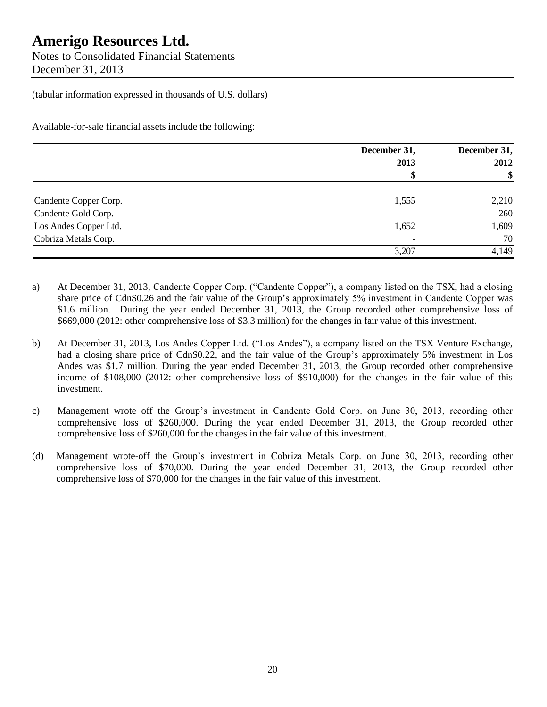Notes to Consolidated Financial Statements December 31, 2013

(tabular information expressed in thousands of U.S. dollars)

Available-for-sale financial assets include the following:

|                       | December 31, | December 31, |
|-----------------------|--------------|--------------|
|                       | 2013<br>S    | 2012         |
|                       |              | \$           |
| Candente Copper Corp. | 1,555        | 2,210        |
| Candente Gold Corp.   |              | 260          |
| Los Andes Copper Ltd. | 1,652        | 1,609        |
| Cobriza Metals Corp.  |              | 70           |
|                       | 3,207        | 4,149        |

- a) At December 31, 2013, Candente Copper Corp. ("Candente Copper"), a company listed on the TSX, had a closing share price of Cdn\$0.26 and the fair value of the Group's approximately 5% investment in Candente Copper was \$1.6 million. During the year ended December 31, 2013, the Group recorded other comprehensive loss of \$669,000 (2012: other comprehensive loss of \$3.3 million) for the changes in fair value of this investment.
- b) At December 31, 2013, Los Andes Copper Ltd. ("Los Andes"), a company listed on the TSX Venture Exchange, had a closing share price of Cdn\$0.22, and the fair value of the Group's approximately 5% investment in Los Andes was \$1.7 million. During the year ended December 31, 2013, the Group recorded other comprehensive income of \$108,000 (2012: other comprehensive loss of \$910,000) for the changes in the fair value of this investment.
- c) Management wrote off the Group's investment in Candente Gold Corp. on June 30, 2013, recording other comprehensive loss of \$260,000. During the year ended December 31, 2013, the Group recorded other comprehensive loss of \$260,000 for the changes in the fair value of this investment.
- (d) Management wrote-off the Group's investment in Cobriza Metals Corp. on June 30, 2013, recording other comprehensive loss of \$70,000. During the year ended December 31, 2013, the Group recorded other comprehensive loss of \$70,000 for the changes in the fair value of this investment.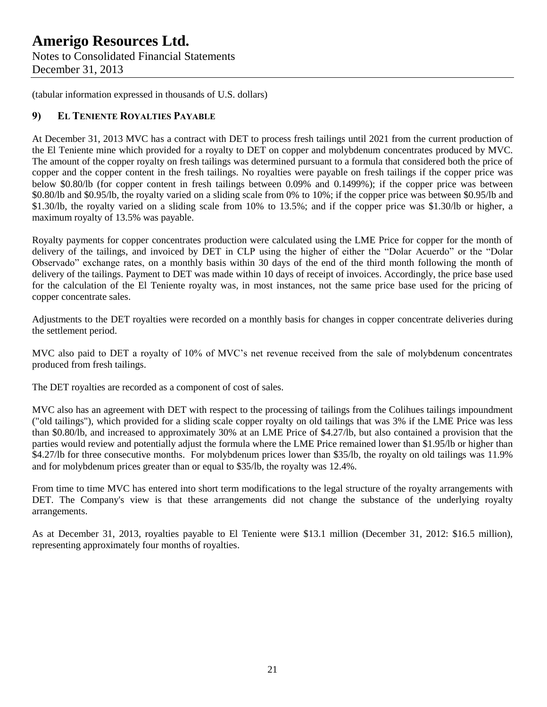Notes to Consolidated Financial Statements December 31, 2013

(tabular information expressed in thousands of U.S. dollars)

## **9) EL TENIENTE ROYALTIES PAYABLE**

At December 31, 2013 MVC has a contract with DET to process fresh tailings until 2021 from the current production of the El Teniente mine which provided for a royalty to DET on copper and molybdenum concentrates produced by MVC. The amount of the copper royalty on fresh tailings was determined pursuant to a formula that considered both the price of copper and the copper content in the fresh tailings. No royalties were payable on fresh tailings if the copper price was below \$0.80/lb (for copper content in fresh tailings between 0.09% and 0.1499%); if the copper price was between \$0.80/lb and \$0.95/lb, the royalty varied on a sliding scale from 0% to 10%; if the copper price was between \$0.95/lb and \$1.30/lb, the royalty varied on a sliding scale from 10% to 13.5%; and if the copper price was \$1.30/lb or higher, a maximum royalty of 13.5% was payable.

Royalty payments for copper concentrates production were calculated using the LME Price for copper for the month of delivery of the tailings, and invoiced by DET in CLP using the higher of either the "Dolar Acuerdo" or the "Dolar Observado" exchange rates, on a monthly basis within 30 days of the end of the third month following the month of delivery of the tailings. Payment to DET was made within 10 days of receipt of invoices. Accordingly, the price base used for the calculation of the El Teniente royalty was, in most instances, not the same price base used for the pricing of copper concentrate sales.

Adjustments to the DET royalties were recorded on a monthly basis for changes in copper concentrate deliveries during the settlement period.

MVC also paid to DET a royalty of 10% of MVC's net revenue received from the sale of molybdenum concentrates produced from fresh tailings.

The DET royalties are recorded as a component of cost of sales.

MVC also has an agreement with DET with respect to the processing of tailings from the Colihues tailings impoundment ("old tailings"), which provided for a sliding scale copper royalty on old tailings that was 3% if the LME Price was less than \$0.80/lb, and increased to approximately 30% at an LME Price of \$4.27/lb, but also contained a provision that the parties would review and potentially adjust the formula where the LME Price remained lower than \$1.95/lb or higher than \$4.27/lb for three consecutive months. For molybdenum prices lower than \$35/lb, the royalty on old tailings was 11.9% and for molybdenum prices greater than or equal to \$35/lb, the royalty was 12.4%.

From time to time MVC has entered into short term modifications to the legal structure of the royalty arrangements with DET. The Company's view is that these arrangements did not change the substance of the underlying royalty arrangements.

As at December 31, 2013, royalties payable to El Teniente were \$13.1 million (December 31, 2012: \$16.5 million), representing approximately four months of royalties.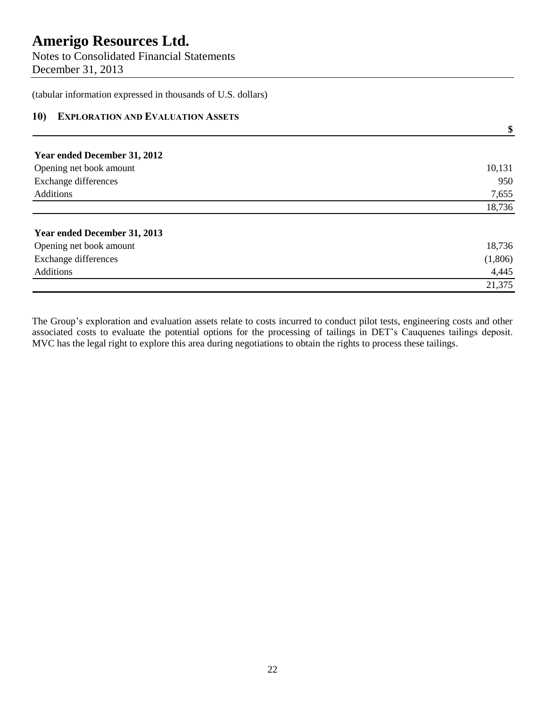Notes to Consolidated Financial Statements December 31, 2013

(tabular information expressed in thousands of U.S. dollars)

### **10) EXPLORATION AND EVALUATION ASSETS**

| <b>Year ended December 31, 2012</b> |         |
|-------------------------------------|---------|
| Opening net book amount             | 10,131  |
| Exchange differences                | 950     |
| Additions                           | 7,655   |
|                                     | 18,736  |
|                                     |         |
| Year ended December 31, 2013        |         |
| Opening net book amount             | 18,736  |
| Exchange differences                | (1,806) |
| Additions                           | 4,445   |
|                                     | 21,375  |

**\$**

The Group's exploration and evaluation assets relate to costs incurred to conduct pilot tests, engineering costs and other associated costs to evaluate the potential options for the processing of tailings in DET's Cauquenes tailings deposit. MVC has the legal right to explore this area during negotiations to obtain the rights to process these tailings.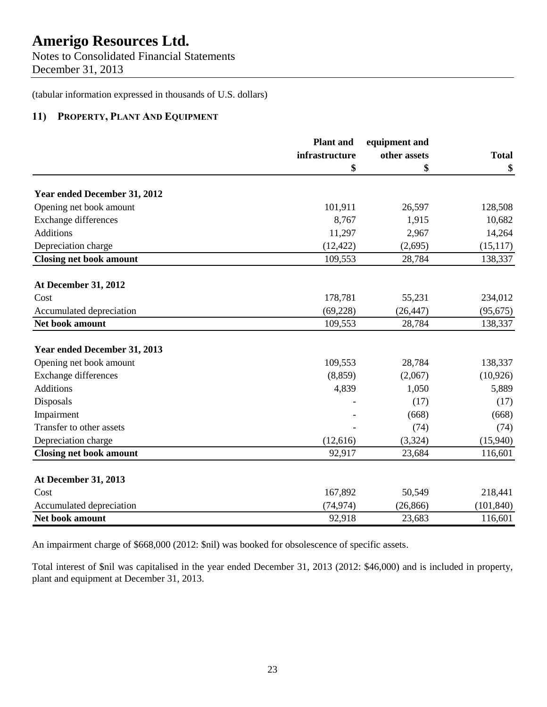Notes to Consolidated Financial Statements December 31, 2013

(tabular information expressed in thousands of U.S. dollars)

## **11) PROPERTY, PLANT AND EQUIPMENT**

|                                | <b>Plant</b> and | equipment and |              |
|--------------------------------|------------------|---------------|--------------|
|                                | infrastructure   | other assets  | <b>Total</b> |
|                                | \$               | \$            | \$           |
| Year ended December 31, 2012   |                  |               |              |
| Opening net book amount        | 101,911          | 26,597        | 128,508      |
| Exchange differences           | 8,767            | 1,915         | 10,682       |
| <b>Additions</b>               | 11,297           | 2,967         | 14,264       |
| Depreciation charge            | (12, 422)        | (2,695)       | (15, 117)    |
| <b>Closing net book amount</b> | 109,553          | 28,784        | 138,337      |
| At December 31, 2012           |                  |               |              |
| Cost                           | 178,781          | 55,231        | 234,012      |
| Accumulated depreciation       | (69, 228)        | (26, 447)     | (95, 675)    |
| Net book amount                | 109,553          | 28,784        | 138,337      |
| Year ended December 31, 2013   |                  |               |              |
| Opening net book amount        | 109,553          | 28,784        | 138,337      |
| <b>Exchange differences</b>    | (8, 859)         | (2,067)       | (10, 926)    |
| <b>Additions</b>               | 4,839            | 1,050         | 5,889        |
| Disposals                      |                  | (17)          | (17)         |
| Impairment                     |                  | (668)         | (668)        |
| Transfer to other assets       |                  | (74)          | (74)         |
| Depreciation charge            | (12,616)         | (3, 324)      | (15,940)     |
| <b>Closing net book amount</b> | 92,917           | 23,684        | 116,601      |
| <b>At December 31, 2013</b>    |                  |               |              |
| Cost                           | 167,892          | 50,549        | 218,441      |
| Accumulated depreciation       | (74, 974)        | (26, 866)     | (101, 840)   |
| Net book amount                | 92,918           | 23,683        | 116,601      |

An impairment charge of \$668,000 (2012: \$nil) was booked for obsolescence of specific assets.

Total interest of \$nil was capitalised in the year ended December 31, 2013 (2012: \$46,000) and is included in property, plant and equipment at December 31, 2013.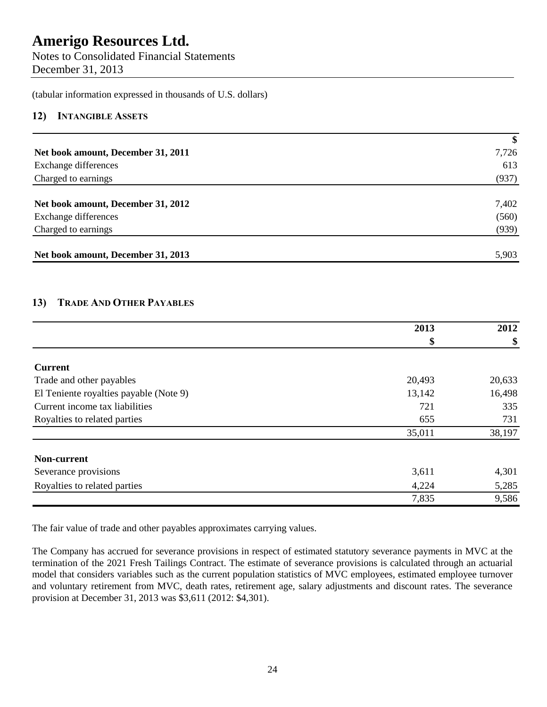Notes to Consolidated Financial Statements December 31, 2013

(tabular information expressed in thousands of U.S. dollars)

### **12) INTANGIBLE ASSETS**

|                                    | \$    |
|------------------------------------|-------|
| Net book amount, December 31, 2011 | 7,726 |
| Exchange differences               | 613   |
| Charged to earnings                | (937) |
|                                    |       |
| Net book amount, December 31, 2012 | 7,402 |
| Exchange differences               | (560) |
| Charged to earnings                | (939) |
|                                    |       |
| Net book amount, December 31, 2013 | 5,903 |

## **13) TRADE AND OTHER PAYABLES**

|                                        | 2013   | 2012   |
|----------------------------------------|--------|--------|
|                                        | \$     | \$     |
|                                        |        |        |
| <b>Current</b>                         |        |        |
| Trade and other payables               | 20,493 | 20,633 |
| El Teniente royalties payable (Note 9) | 13,142 | 16,498 |
| Current income tax liabilities         | 721    | 335    |
| Royalties to related parties           | 655    | 731    |
|                                        | 35,011 | 38,197 |
| Non-current                            |        |        |
| Severance provisions                   | 3,611  | 4,301  |
| Royalties to related parties           | 4,224  | 5,285  |
|                                        | 7,835  | 9,586  |

The fair value of trade and other payables approximates carrying values.

The Company has accrued for severance provisions in respect of estimated statutory severance payments in MVC at the termination of the 2021 Fresh Tailings Contract. The estimate of severance provisions is calculated through an actuarial model that considers variables such as the current population statistics of MVC employees, estimated employee turnover and voluntary retirement from MVC, death rates, retirement age, salary adjustments and discount rates. The severance provision at December 31, 2013 was \$3,611 (2012: \$4,301).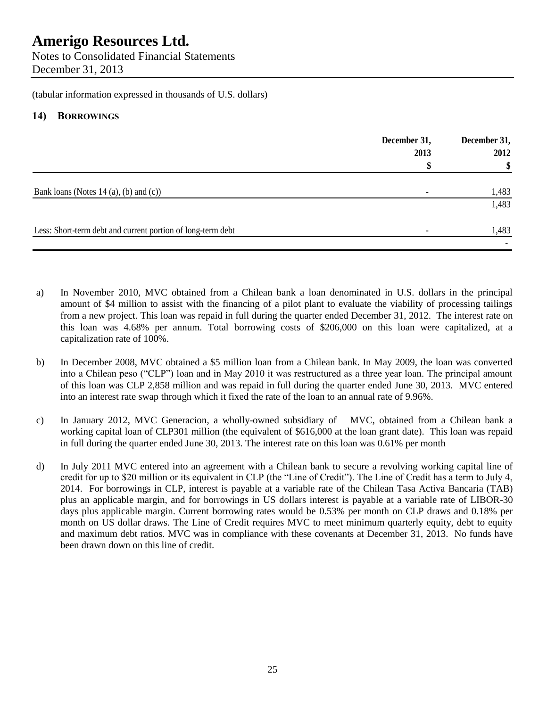Notes to Consolidated Financial Statements December 31, 2013

(tabular information expressed in thousands of U.S. dollars)

### **14) BORROWINGS**

|                                                             | December 31,<br>2013 | December 31,<br>2012<br>\$ |
|-------------------------------------------------------------|----------------------|----------------------------|
|                                                             |                      |                            |
|                                                             |                      |                            |
| Bank loans (Notes 14 (a), (b) and (c))                      | ٠                    | 1,483                      |
|                                                             |                      | 1,483                      |
| Less: Short-term debt and current portion of long-term debt |                      | 1,483                      |
|                                                             |                      |                            |

- a) In November 2010, MVC obtained from a Chilean bank a loan denominated in U.S. dollars in the principal amount of \$4 million to assist with the financing of a pilot plant to evaluate the viability of processing tailings from a new project. This loan was repaid in full during the quarter ended December 31, 2012. The interest rate on this loan was 4.68% per annum. Total borrowing costs of \$206,000 on this loan were capitalized, at a capitalization rate of 100%.
- b) In December 2008, MVC obtained a \$5 million loan from a Chilean bank. In May 2009, the loan was converted into a Chilean peso ("CLP") loan and in May 2010 it was restructured as a three year loan. The principal amount of this loan was CLP 2,858 million and was repaid in full during the quarter ended June 30, 2013. MVC entered into an interest rate swap through which it fixed the rate of the loan to an annual rate of 9.96%.
- c) In January 2012, MVC Generacion, a wholly-owned subsidiary of MVC, obtained from a Chilean bank a working capital loan of CLP301 million (the equivalent of \$616,000 at the loan grant date). This loan was repaid in full during the quarter ended June 30, 2013. The interest rate on this loan was 0.61% per month
- d) In July 2011 MVC entered into an agreement with a Chilean bank to secure a revolving working capital line of credit for up to \$20 million or its equivalent in CLP (the "Line of Credit"). The Line of Credit has a term to July 4, 2014. For borrowings in CLP, interest is payable at a variable rate of the Chilean Tasa Activa Bancaria (TAB) plus an applicable margin, and for borrowings in US dollars interest is payable at a variable rate of LIBOR-30 days plus applicable margin. Current borrowing rates would be 0.53% per month on CLP draws and 0.18% per month on US dollar draws. The Line of Credit requires MVC to meet minimum quarterly equity, debt to equity and maximum debt ratios. MVC was in compliance with these covenants at December 31, 2013. No funds have been drawn down on this line of credit.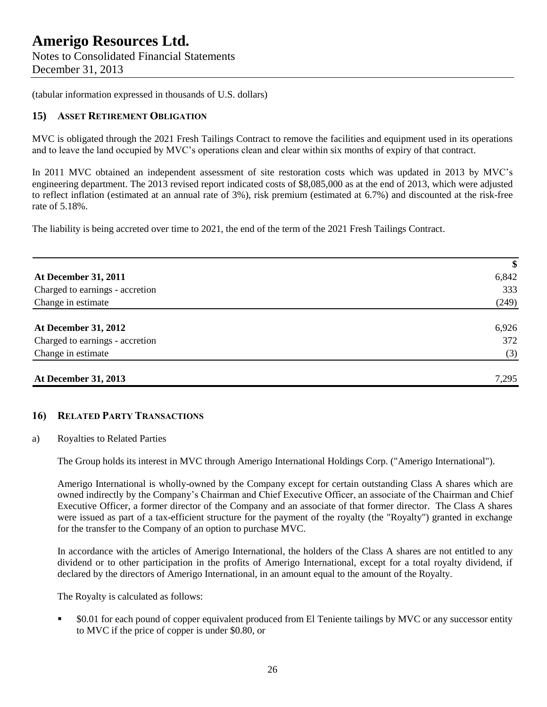Notes to Consolidated Financial Statements December 31, 2013

(tabular information expressed in thousands of U.S. dollars)

### **15) ASSET RETIREMENT OBLIGATION**

MVC is obligated through the 2021 Fresh Tailings Contract to remove the facilities and equipment used in its operations and to leave the land occupied by MVC's operations clean and clear within six months of expiry of that contract.

In 2011 MVC obtained an independent assessment of site restoration costs which was updated in 2013 by MVC's engineering department. The 2013 revised report indicated costs of \$8,085,000 as at the end of 2013, which were adjusted to reflect inflation (estimated at an annual rate of 3%), risk premium (estimated at 6.7%) and discounted at the risk-free rate of 5.18%.

The liability is being accreted over time to 2021, the end of the term of the 2021 Fresh Tailings Contract.

|                                 | \$    |
|---------------------------------|-------|
| <b>At December 31, 2011</b>     | 6,842 |
| Charged to earnings - accretion | 333   |
| Change in estimate              | (249) |
| <b>At December 31, 2012</b>     | 6,926 |
| Charged to earnings - accretion | 372   |
| Change in estimate              | (3)   |
| <b>At December 31, 2013</b>     | 7,295 |

### **16) RELATED PARTY TRANSACTIONS**

#### a) Royalties to Related Parties

The Group holds its interest in MVC through Amerigo International Holdings Corp. ("Amerigo International").

Amerigo International is wholly-owned by the Company except for certain outstanding Class A shares which are owned indirectly by the Company's Chairman and Chief Executive Officer, an associate of the Chairman and Chief Executive Officer, a former director of the Company and an associate of that former director. The Class A shares were issued as part of a tax-efficient structure for the payment of the royalty (the "Royalty") granted in exchange for the transfer to the Company of an option to purchase MVC.

In accordance with the articles of Amerigo International, the holders of the Class A shares are not entitled to any dividend or to other participation in the profits of Amerigo International, except for a total royalty dividend, if declared by the directors of Amerigo International, in an amount equal to the amount of the Royalty.

The Royalty is calculated as follows:

 \$0.01 for each pound of copper equivalent produced from El Teniente tailings by MVC or any successor entity to MVC if the price of copper is under \$0.80, or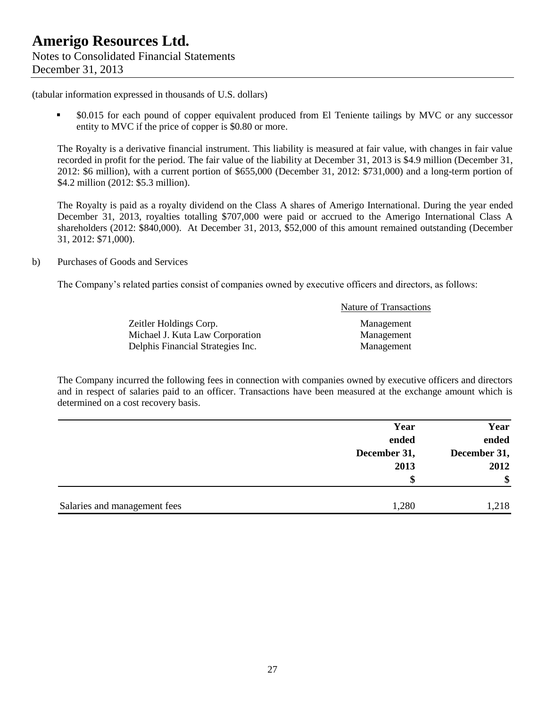(tabular information expressed in thousands of U.S. dollars)

 \$0.015 for each pound of copper equivalent produced from El Teniente tailings by MVC or any successor entity to MVC if the price of copper is \$0.80 or more.

The Royalty is a derivative financial instrument. This liability is measured at fair value, with changes in fair value recorded in profit for the period. The fair value of the liability at December 31, 2013 is \$4.9 million (December 31, 2012: \$6 million), with a current portion of \$655,000 (December 31, 2012: \$731,000) and a long-term portion of \$4.2 million (2012: \$5.3 million).

The Royalty is paid as a royalty dividend on the Class A shares of Amerigo International. During the year ended December 31, 2013, royalties totalling \$707,000 were paid or accrued to the Amerigo International Class A shareholders (2012: \$840,000). At December 31, 2013, \$52,000 of this amount remained outstanding (December 31, 2012: \$71,000).

#### b) Purchases of Goods and Services

The Company's related parties consist of companies owned by executive officers and directors, as follows:

|                                   | Nature of Transactions |
|-----------------------------------|------------------------|
| Zeitler Holdings Corp.            | Management             |
| Michael J. Kuta Law Corporation   | Management             |
| Delphis Financial Strategies Inc. | Management             |

The Company incurred the following fees in connection with companies owned by executive officers and directors and in respect of salaries paid to an officer. Transactions have been measured at the exchange amount which is determined on a cost recovery basis.

|                              | Year         | Year         |
|------------------------------|--------------|--------------|
|                              | ended        | ended        |
|                              | December 31, | December 31, |
|                              | 2013         | 2012         |
|                              | S            | \$           |
| Salaries and management fees | 1,280        | ,218         |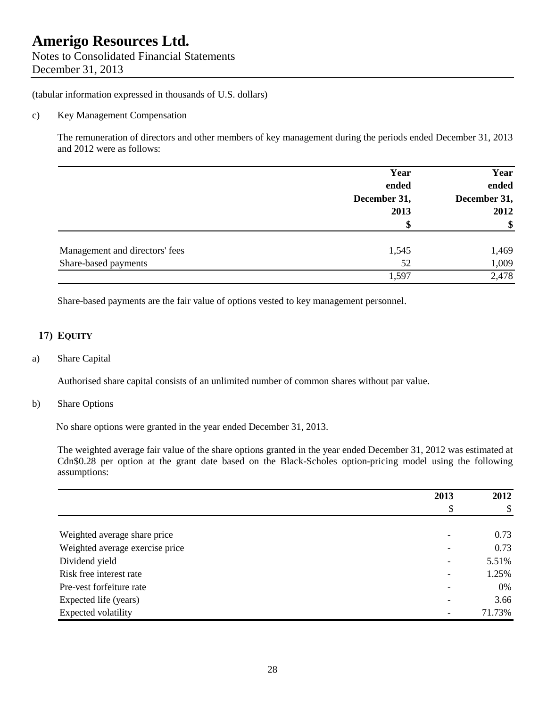Notes to Consolidated Financial Statements December 31, 2013

#### (tabular information expressed in thousands of U.S. dollars)

#### c) Key Management Compensation

The remuneration of directors and other members of key management during the periods ended December 31, 2013 and 2012 were as follows:

|                                | Year         | Year         |  |
|--------------------------------|--------------|--------------|--|
|                                | ended        | ended        |  |
|                                | December 31, | December 31, |  |
|                                | 2013         | 2012         |  |
|                                |              | \$           |  |
| Management and directors' fees | 1,545        | 1,469        |  |
| Share-based payments           | 52           | 1,009        |  |
|                                | 1,597        | 2,478        |  |

Share-based payments are the fair value of options vested to key management personnel.

## **17) EQUITY**

### a) Share Capital

Authorised share capital consists of an unlimited number of common shares without par value.

### b) Share Options

No share options were granted in the year ended December 31, 2013.

The weighted average fair value of the share options granted in the year ended December 31, 2012 was estimated at Cdn\$0.28 per option at the grant date based on the Black-Scholes option-pricing model using the following assumptions:

|                                 | 2013                     | 2012          |
|---------------------------------|--------------------------|---------------|
|                                 | \$                       | $\mathcal{S}$ |
|                                 |                          |               |
| Weighted average share price    |                          | 0.73          |
| Weighted average exercise price |                          | 0.73          |
| Dividend yield                  | $\overline{\phantom{a}}$ | 5.51%         |
| Risk free interest rate         | -                        | 1.25%         |
| Pre-vest forfeiture rate        |                          | 0%            |
| Expected life (years)           |                          | 3.66          |
| Expected volatility             |                          | 71.73%        |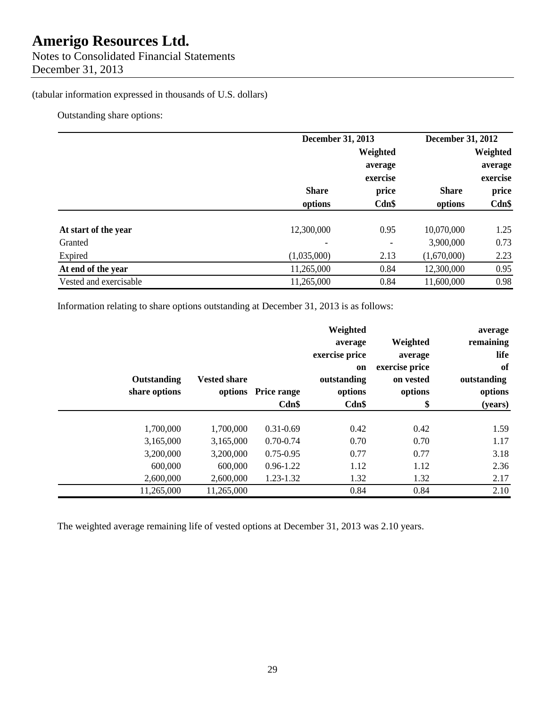Notes to Consolidated Financial Statements December 31, 2013

## (tabular information expressed in thousands of U.S. dollars)

Outstanding share options:

|                        |              | December 31, 2013               |              | December 31, 2012   |  |  |
|------------------------|--------------|---------------------------------|--------------|---------------------|--|--|
|                        |              | Weighted<br>average<br>exercise |              | Weighted<br>average |  |  |
|                        |              |                                 |              | exercise            |  |  |
|                        | <b>Share</b> | price                           | <b>Share</b> | price               |  |  |
|                        | options      | $Cdn$ \$                        | options      | $Cdn$ \$            |  |  |
| At start of the year   | 12,300,000   | 0.95                            | 10,070,000   | 1.25                |  |  |
| Granted                | -            |                                 | 3,900,000    | 0.73                |  |  |
| Expired                | (1,035,000)  | 2.13                            | (1,670,000)  | 2.23                |  |  |
| At end of the year     | 11,265,000   | 0.84                            | 12,300,000   | 0.95                |  |  |
| Vested and exercisable | 11,265,000   | 0.84                            | 11,600,000   | 0.98                |  |  |

Information relating to share options outstanding at December 31, 2013 is as follows:

| Outstanding<br>share options                                | <b>Vested share</b><br>options                              | Price range<br>$Cdn$ \$                                                       | Weighted<br>average<br>exercise price<br>on<br>outstanding<br>options<br>Cdn\$ | Weighted<br>average<br>exercise price<br>on vested<br>options<br>\$ | average<br>remaining<br>life<br>of<br>outstanding<br>options<br>(years) |
|-------------------------------------------------------------|-------------------------------------------------------------|-------------------------------------------------------------------------------|--------------------------------------------------------------------------------|---------------------------------------------------------------------|-------------------------------------------------------------------------|
| 1,700,000<br>3,165,000<br>3,200,000<br>600,000<br>2,600,000 | 1,700,000<br>3,165,000<br>3,200,000<br>600,000<br>2,600,000 | $0.31 - 0.69$<br>$0.70 - 0.74$<br>$0.75 - 0.95$<br>$0.96 - 1.22$<br>1.23-1.32 | 0.42<br>0.70<br>0.77<br>1.12<br>1.32                                           | 0.42<br>0.70<br>0.77<br>1.12<br>1.32                                | 1.59<br>1.17<br>3.18<br>2.36<br>2.17                                    |
| 11,265,000                                                  | 11,265,000                                                  |                                                                               | 0.84                                                                           | 0.84                                                                | 2.10                                                                    |

The weighted average remaining life of vested options at December 31, 2013 was 2.10 years.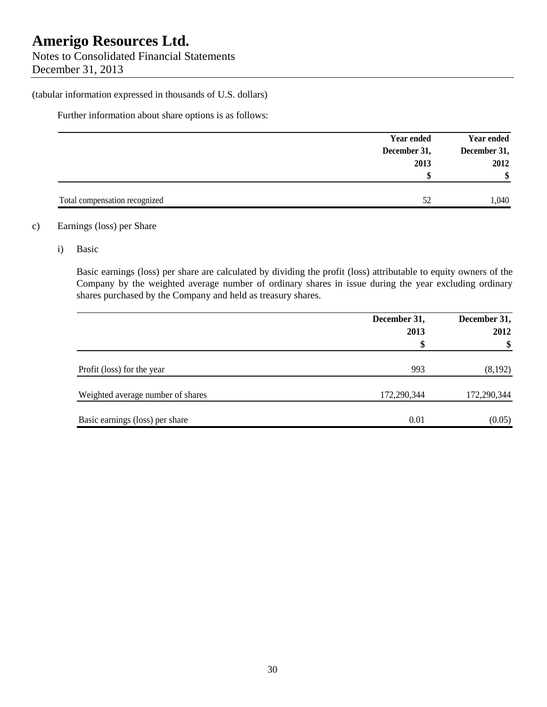Notes to Consolidated Financial Statements December 31, 2013

### (tabular information expressed in thousands of U.S. dollars)

Further information about share options is as follows:

|                               | <b>Year ended</b><br>December 31,<br>2013 | <b>Year ended</b><br>December 31,<br>2012 |
|-------------------------------|-------------------------------------------|-------------------------------------------|
|                               |                                           | \$                                        |
| Total compensation recognized | 52                                        | 1,040                                     |

## c) Earnings (loss) per Share

i) Basic

Basic earnings (loss) per share are calculated by dividing the profit (loss) attributable to equity owners of the Company by the weighted average number of ordinary shares in issue during the year excluding ordinary shares purchased by the Company and held as treasury shares.

|                                   | December 31,<br>2013 | December 31,<br>2012 |
|-----------------------------------|----------------------|----------------------|
|                                   | \$                   | \$                   |
| Profit (loss) for the year        | 993                  | (8,192)              |
| Weighted average number of shares | 172,290,344          | 172,290,344          |
| Basic earnings (loss) per share   | 0.01                 | (0.05)               |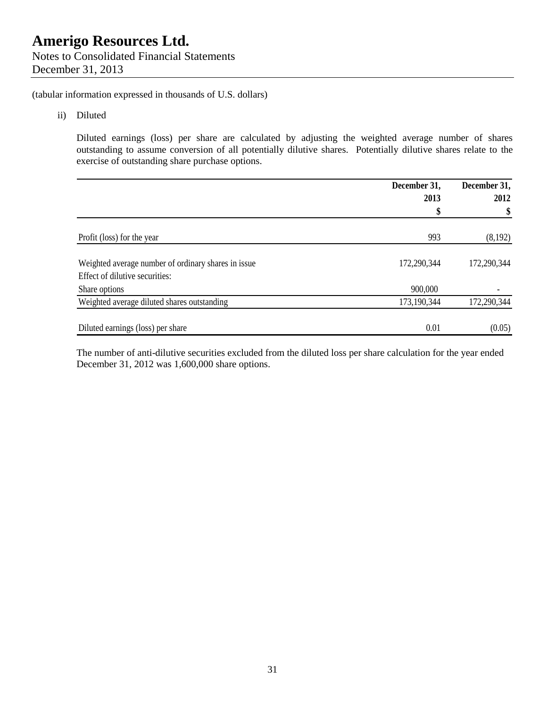Notes to Consolidated Financial Statements December 31, 2013

(tabular information expressed in thousands of U.S. dollars)

ii) Diluted

Diluted earnings (loss) per share are calculated by adjusting the weighted average number of shares outstanding to assume conversion of all potentially dilutive shares. Potentially dilutive shares relate to the exercise of outstanding share purchase options.

|                                                     | December 31,<br>2013<br>\$ | December 31, |  |
|-----------------------------------------------------|----------------------------|--------------|--|
|                                                     |                            | 2012<br>\$   |  |
|                                                     |                            |              |  |
| Profit (loss) for the year                          | 993                        | (8,192)      |  |
| Weighted average number of ordinary shares in issue | 172,290,344                | 172,290,344  |  |
| Effect of dilutive securities:                      |                            |              |  |
| Share options                                       | 900,000                    |              |  |
| Weighted average diluted shares outstanding         | 173,190,344                | 172,290,344  |  |
| Diluted earnings (loss) per share                   | 0.01                       | (0.05)       |  |

The number of anti-dilutive securities excluded from the diluted loss per share calculation for the year ended December 31, 2012 was 1,600,000 share options.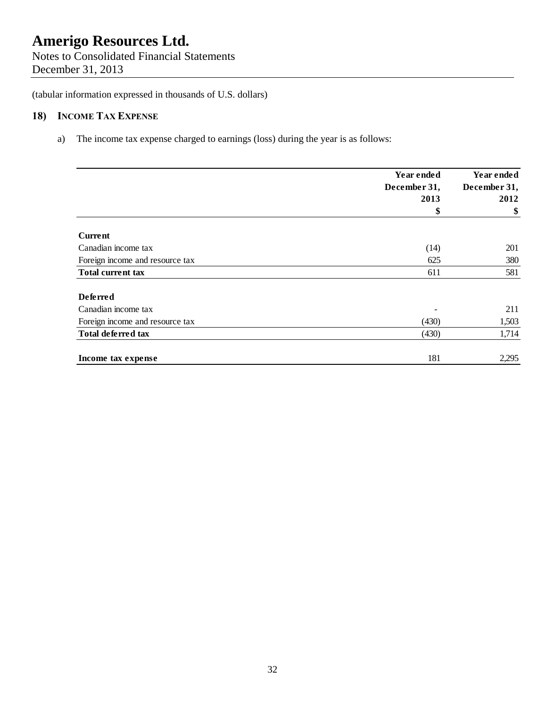Notes to Consolidated Financial Statements December 31, 2013

(tabular information expressed in thousands of U.S. dollars)

## **18) INCOME TAX EXPENSE**

a) The income tax expense charged to earnings (loss) during the year is as follows:

|                                 | Year ended               | Year ended           |  |
|---------------------------------|--------------------------|----------------------|--|
|                                 | December 31,             | December 31,<br>2012 |  |
|                                 | 2013                     |                      |  |
|                                 | \$                       | \$                   |  |
| <b>Current</b>                  |                          |                      |  |
| Canadian income tax             | (14)                     | 201                  |  |
| Foreign income and resource tax | 625                      | 380                  |  |
| <b>Total current tax</b>        | 611                      | 581                  |  |
| <b>Deferred</b>                 |                          |                      |  |
| Canadian income tax             | $\overline{\phantom{a}}$ | 211                  |  |
| Foreign income and resource tax | (430)                    | 1,503                |  |
| Total deferred tax              | (430)                    | 1,714                |  |
| Income tax expense              | 181                      | 2,295                |  |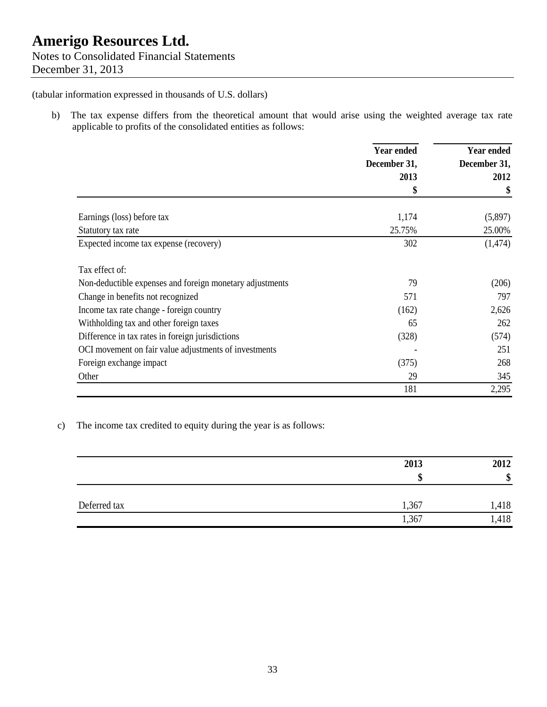(tabular information expressed in thousands of U.S. dollars)

b) The tax expense differs from the theoretical amount that would arise using the weighted average tax rate applicable to profits of the consolidated entities as follows:

|                                                          | <b>Year ended</b><br>December 31, | <b>Year ended</b><br>December 31, |  |
|----------------------------------------------------------|-----------------------------------|-----------------------------------|--|
|                                                          | 2013                              | 2012                              |  |
|                                                          | \$                                | \$                                |  |
| Earnings (loss) before tax                               | 1,174                             | (5,897)                           |  |
| Statutory tax rate                                       | 25.75%                            | 25.00%                            |  |
| Expected income tax expense (recovery)                   | 302                               | (1,474)                           |  |
| Tax effect of:                                           |                                   |                                   |  |
| Non-deductible expenses and foreign monetary adjustments | 79                                | (206)                             |  |
| Change in benefits not recognized                        | 571                               | 797                               |  |
| Income tax rate change - foreign country                 | (162)                             | 2,626                             |  |
| Withholding tax and other foreign taxes                  | 65                                | 262                               |  |
| Difference in tax rates in foreign jurisdictions         | (328)                             | (574)                             |  |
| OCI movement on fair value adjustments of investments    |                                   | 251                               |  |
| Foreign exchange impact                                  | (375)                             | 268                               |  |
| Other                                                    | 29                                | 345                               |  |
|                                                          | 181                               | 2,295                             |  |

## c) The income tax credited to equity during the year is as follows:

|              | 2013  | 2012   |
|--------------|-------|--------|
|              | ۱D    | ¢<br>ง |
| Deferred tax | 1,367 | 1,418  |
|              | 1,367 | .418   |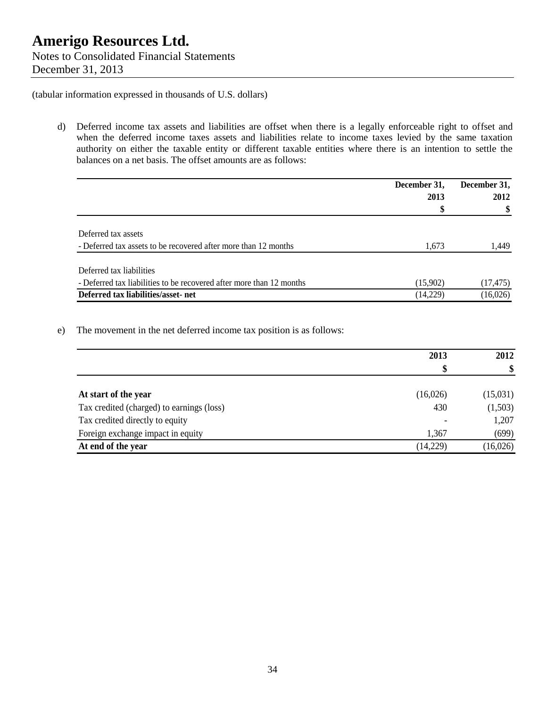Notes to Consolidated Financial Statements December 31, 2013

(tabular information expressed in thousands of U.S. dollars)

d) Deferred income tax assets and liabilities are offset when there is a legally enforceable right to offset and when the deferred income taxes assets and liabilities relate to income taxes levied by the same taxation authority on either the taxable entity or different taxable entities where there is an intention to settle the balances on a net basis. The offset amounts are as follows:

|                                                                      | December 31, | December 31, |  |
|----------------------------------------------------------------------|--------------|--------------|--|
|                                                                      | 2013         | 2012         |  |
|                                                                      | \$           | \$           |  |
|                                                                      |              |              |  |
| Deferred tax assets                                                  |              |              |  |
| - Deferred tax assets to be recovered after more than 12 months      | 1,673        | 1,449        |  |
| Deferred tax liabilities                                             |              |              |  |
| - Deferred tax liabilities to be recovered after more than 12 months | (15,902)     | (17, 475)    |  |
| Deferred tax liabilities/asset-net                                   | (14,229)     | (16,026)     |  |

e) The movement in the net deferred income tax position is as follows:

| 2013                                             | 2012     |
|--------------------------------------------------|----------|
| \$                                               | \$       |
| At start of the year<br>(16,026)                 | (15,031) |
| 430<br>Tax credited (charged) to earnings (loss) | (1,503)  |
| Tax credited directly to equity                  | 1,207    |
| Foreign exchange impact in equity<br>1,367       | (699)    |
| At end of the year<br>(14,229)                   | (16,026) |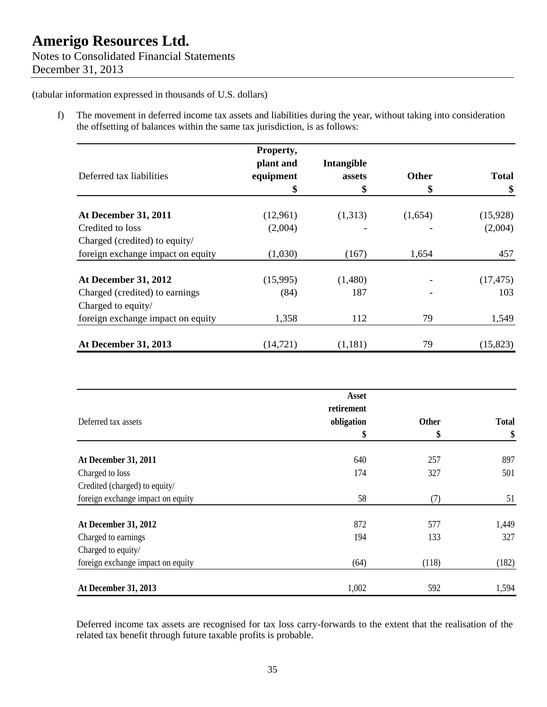(tabular information expressed in thousands of U.S. dollars)

f) The movement in deferred income tax assets and liabilities during the year, without taking into consideration the offsetting of balances within the same tax jurisdiction, is as follows:

|                                   | Property, |            |              |              |
|-----------------------------------|-----------|------------|--------------|--------------|
|                                   | plant and | Intangible |              |              |
| Deferred tax liabilities          | equipment | assets     | <b>Other</b> | <b>Total</b> |
|                                   | \$        | \$         | \$           | \$           |
| <b>At December 31, 2011</b>       | (12,961)  | (1,313)    | (1,654)      | (15,928)     |
| Credited to loss                  | (2,004)   |            |              | (2,004)      |
| Charged (credited) to equity/     |           |            |              |              |
| foreign exchange impact on equity | (1,030)   | (167)      | 1,654        | 457          |
| <b>At December 31, 2012</b>       | (15,995)  | (1,480)    |              | (17, 475)    |
| Charged (credited) to earnings    | (84)      | 187        |              | 103          |
| Charged to equity/                |           |            |              |              |
| foreign exchange impact on equity | 1,358     | 112        | 79           | 1,549        |
|                                   |           |            |              |              |
| <b>At December 31, 2013</b>       | (14, 721) | (1,181)    | 79           | (15, 823)    |

|                                   | Asset      |              |              |
|-----------------------------------|------------|--------------|--------------|
|                                   | retirement |              |              |
| Deferred tax assets               | obligation | <b>Other</b> | <b>Total</b> |
|                                   | \$         | \$           | \$           |
| <b>At December 31, 2011</b>       | 640        | 257          | 897          |
| Charged to loss                   | 174        | 327          | 501          |
| Credited (charged) to equity/     |            |              |              |
| foreign exchange impact on equity | 58         | (7)          | 51           |
| <b>At December 31, 2012</b>       | 872        | 577          | 1,449        |
| Charged to earnings               | 194        | 133          | 327          |
| Charged to equity/                |            |              |              |
| foreign exchange impact on equity | (64)       | (118)        | (182)        |
| At December 31, 2013              | 1,002      | 592          | 1,594        |

Deferred income tax assets are recognised for tax loss carry-forwards to the extent that the realisation of the related tax benefit through future taxable profits is probable.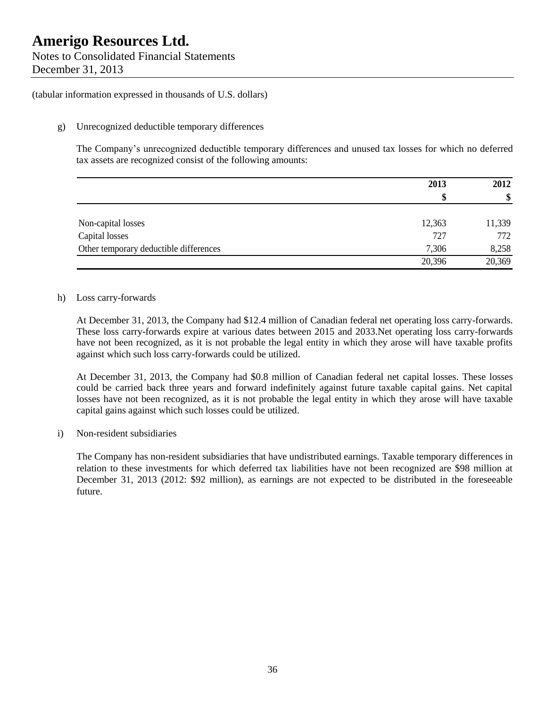Notes to Consolidated Financial Statements December 31, 2013

(tabular information expressed in thousands of U.S. dollars)

## g) Unrecognized deductible temporary differences

The Company's unrecognized deductible temporary differences and unused tax losses for which no deferred tax assets are recognized consist of the following amounts:

|                                        | 2013   | 2012   |
|----------------------------------------|--------|--------|
|                                        | S      | \$     |
| Non-capital losses                     | 12,363 | 11,339 |
| Capital losses                         | 727    | 772    |
| Other temporary deductible differences | 7,306  | 8,258  |
|                                        | 20,396 | 20,369 |

## h) Loss carry-forwards

At December 31, 2013, the Company had \$12.4 million of Canadian federal net operating loss carry-forwards. These loss carry-forwards expire at various dates between 2015 and 2033.Net operating loss carry-forwards have not been recognized, as it is not probable the legal entity in which they arose will have taxable profits against which such loss carry-forwards could be utilized.

At December 31, 2013, the Company had \$0.8 million of Canadian federal net capital losses. These losses could be carried back three years and forward indefinitely against future taxable capital gains. Net capital losses have not been recognized, as it is not probable the legal entity in which they arose will have taxable capital gains against which such losses could be utilized.

## i) Non-resident subsidiaries

The Company has non-resident subsidiaries that have undistributed earnings. Taxable temporary differences in relation to these investments for which deferred tax liabilities have not been recognized are \$98 million at December 31, 2013 (2012: \$92 million), as earnings are not expected to be distributed in the foreseeable future.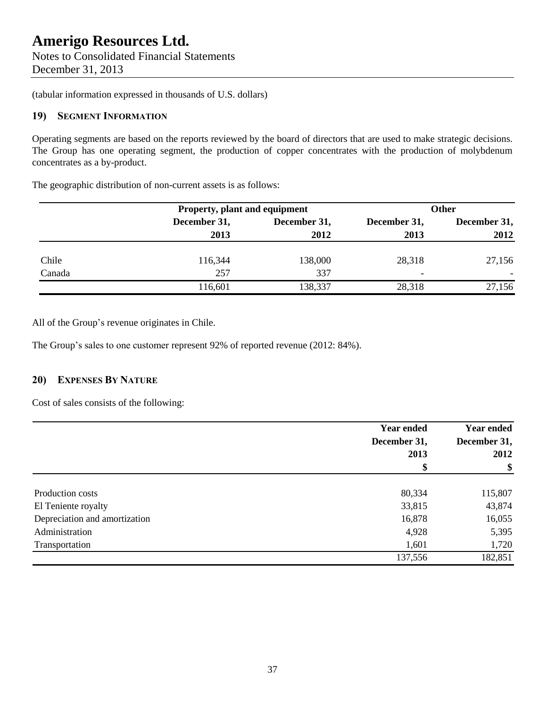Notes to Consolidated Financial Statements December 31, 2013

(tabular information expressed in thousands of U.S. dollars)

## **19) SEGMENT INFORMATION**

Operating segments are based on the reports reviewed by the board of directors that are used to make strategic decisions. The Group has one operating segment, the production of copper concentrates with the production of molybdenum concentrates as a by-product.

The geographic distribution of non-current assets is as follows:

|        |                      | Property, plant and equipment |                          | <b>Other</b>         |
|--------|----------------------|-------------------------------|--------------------------|----------------------|
|        | December 31,<br>2013 | December 31,<br>2012          | December 31,<br>2013     | December 31,<br>2012 |
| Chile  | 116,344              | 138,000                       | 28,318                   | 27,156               |
| Canada | 257                  | 337                           | $\overline{\phantom{0}}$ |                      |
|        | 116,601              | 138,337                       | 28,318                   | 27,156               |

All of the Group's revenue originates in Chile.

The Group's sales to one customer represent 92% of reported revenue (2012: 84%).

## **20) EXPENSES BY NATURE**

Cost of sales consists of the following:

|                               | <b>Year ended</b> | <b>Year ended</b><br>December 31,<br>2012 |  |
|-------------------------------|-------------------|-------------------------------------------|--|
|                               | December 31,      |                                           |  |
|                               | 2013              |                                           |  |
|                               | \$                | \$                                        |  |
|                               |                   |                                           |  |
| Production costs              | 80,334            | 115,807                                   |  |
| El Teniente royalty           | 33,815            | 43,874                                    |  |
| Depreciation and amortization | 16,878            | 16,055                                    |  |
| Administration                | 4,928             | 5,395                                     |  |
| Transportation                | 1,601             | 1,720                                     |  |
|                               | 137,556           | 182,851                                   |  |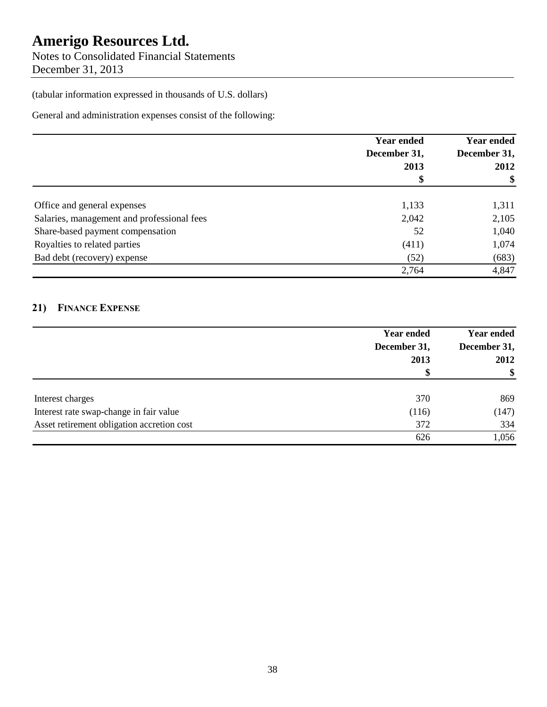Notes to Consolidated Financial Statements December 31, 2013

## (tabular information expressed in thousands of U.S. dollars)

General and administration expenses consist of the following:

|                                            | <b>Year ended</b> | <b>Year ended</b><br>December 31,<br>2012 |  |
|--------------------------------------------|-------------------|-------------------------------------------|--|
|                                            | December 31,      |                                           |  |
|                                            | 2013              |                                           |  |
|                                            | \$                | \$                                        |  |
| Office and general expenses                | 1,133             | 1,311                                     |  |
| Salaries, management and professional fees | 2,042             | 2,105                                     |  |
| Share-based payment compensation           | 52                | 1,040                                     |  |
| Royalties to related parties               | (411)             | 1,074                                     |  |
| Bad debt (recovery) expense                | (52)              | (683)                                     |  |
|                                            | 2,764             | 4,847                                     |  |

## **21) FINANCE EXPENSE**

|                                            | <b>Year ended</b><br>December 31,<br>2013 | <b>Year ended</b><br>December 31,<br>2012 |  |
|--------------------------------------------|-------------------------------------------|-------------------------------------------|--|
|                                            | æ                                         | \$                                        |  |
| Interest charges                           | 370                                       | 869                                       |  |
| Interest rate swap-change in fair value    | (116)                                     | (147)                                     |  |
| Asset retirement obligation accretion cost | 372                                       | 334                                       |  |
|                                            | 626                                       | 1,056                                     |  |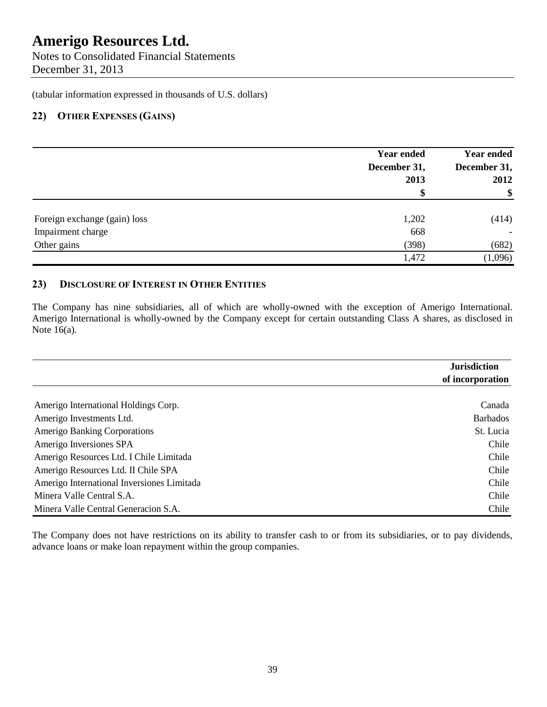Notes to Consolidated Financial Statements December 31, 2013

(tabular information expressed in thousands of U.S. dollars)

## **22) OTHER EXPENSES (GAINS)**

|                              | <b>Year ended</b><br>December 31,<br>2013 | <b>Year ended</b><br>December 31,<br>2012 |
|------------------------------|-------------------------------------------|-------------------------------------------|
|                              | \$                                        | \$                                        |
| Foreign exchange (gain) loss | 1,202                                     | (414)                                     |
| Impairment charge            | 668                                       |                                           |
| Other gains                  | (398)                                     | (682)                                     |
|                              | 1,472                                     | (1,096)                                   |

## **23) DISCLOSURE OF INTEREST IN OTHER ENTITIES**

The Company has nine subsidiaries, all of which are wholly-owned with the exception of Amerigo International. Amerigo International is wholly-owned by the Company except for certain outstanding Class A shares, as disclosed in Note  $16(a)$ .

|                                            | <b>Jurisdiction</b><br>of incorporation |
|--------------------------------------------|-----------------------------------------|
|                                            |                                         |
| Amerigo International Holdings Corp.       | Canada                                  |
| Amerigo Investments Ltd.                   | <b>Barbados</b>                         |
| <b>Amerigo Banking Corporations</b>        | St. Lucia                               |
| Amerigo Inversiones SPA                    | Chile                                   |
| Amerigo Resources Ltd. I Chile Limitada    | Chile                                   |
| Amerigo Resources Ltd. II Chile SPA        | Chile                                   |
| Amerigo International Inversiones Limitada | Chile                                   |
| Minera Valle Central S.A.                  | Chile                                   |
| Minera Valle Central Generacion S.A.       | Chile                                   |

The Company does not have restrictions on its ability to transfer cash to or from its subsidiaries, or to pay dividends, advance loans or make loan repayment within the group companies.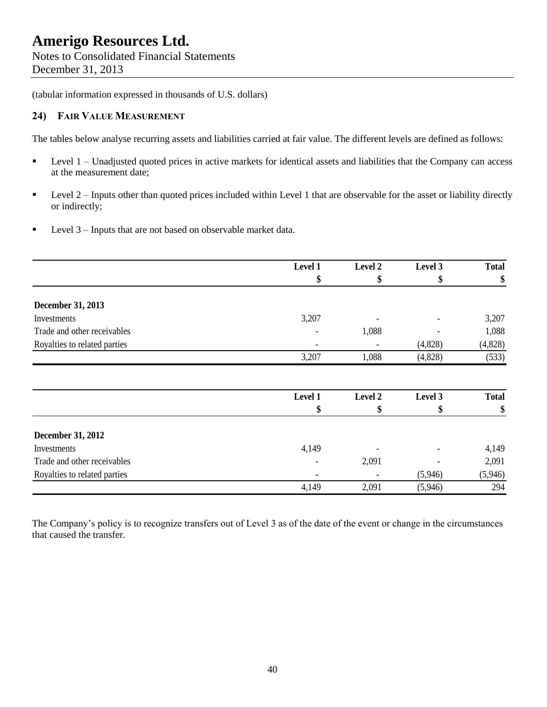Notes to Consolidated Financial Statements December 31, 2013

(tabular information expressed in thousands of U.S. dollars)

## **24) FAIR VALUE MEASUREMENT**

The tables below analyse recurring assets and liabilities carried at fair value. The different levels are defined as follows:

- Level 1 Unadjusted quoted prices in active markets for identical assets and liabilities that the Company can access at the measurement date;
- Level 2 Inputs other than quoted prices included within Level 1 that are observable for the asset or liability directly or indirectly;
- Level 3 Inputs that are not based on observable market data.

|                              | Level 1 | Level 2                  | Level 3 | <b>Total</b> |
|------------------------------|---------|--------------------------|---------|--------------|
|                              |         | Φ                        | \$      | \$           |
| December 31, 2013            |         |                          |         |              |
| Investments                  | 3,207   | $\overline{\phantom{0}}$ |         | 3,207        |
| Trade and other receivables  |         | 1,088                    |         | 1,088        |
| Royalties to related parties |         | $\overline{\phantom{a}}$ | (4,828) | (4,828)      |
|                              | 3,207   | 1,088                    | (4,828) | (533)        |
|                              | Level 1 | Level 2                  | Level 3 | <b>Total</b> |
|                              |         |                          |         | \$           |

| <b>December 31, 2012</b>     |                          |                          |         |         |
|------------------------------|--------------------------|--------------------------|---------|---------|
| Investments                  | 4,149                    | $\overline{\phantom{0}}$ | -       | 4,149   |
| Trade and other receivables  |                          | 2,091                    | -       | 2,091   |
| Royalties to related parties | $\overline{\phantom{a}}$ | $\overline{\phantom{a}}$ | (5,946) | (5,946) |
|                              | 4,149                    | 2,091                    | (5,946) | 294     |

The Company's policy is to recognize transfers out of Level 3 as of the date of the event or change in the circumstances that caused the transfer.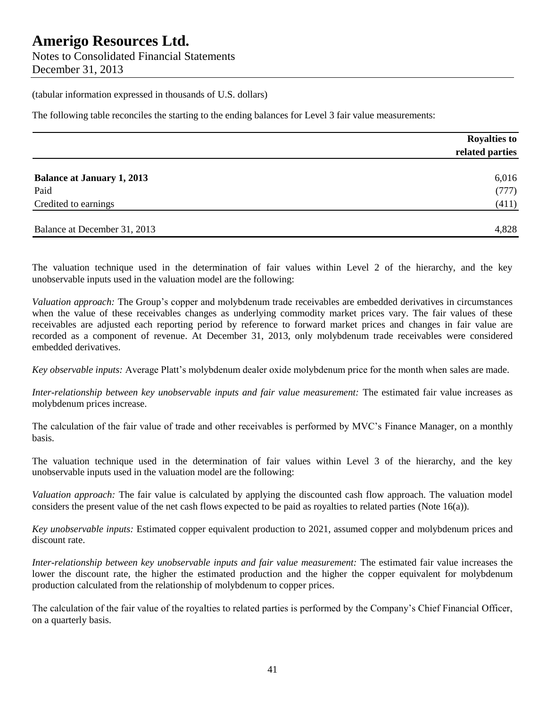Notes to Consolidated Financial Statements December 31, 2013

(tabular information expressed in thousands of U.S. dollars)

The following table reconciles the starting to the ending balances for Level 3 fair value measurements:

|                                   | <b>Royalties to</b><br>related parties |
|-----------------------------------|----------------------------------------|
|                                   |                                        |
| <b>Balance at January 1, 2013</b> | 6,016                                  |
| Paid                              | (777)                                  |
| Credited to earnings              | (411)                                  |
|                                   |                                        |
| Balance at December 31, 2013      | 4,828                                  |

The valuation technique used in the determination of fair values within Level 2 of the hierarchy, and the key unobservable inputs used in the valuation model are the following:

*Valuation approach:* The Group's copper and molybdenum trade receivables are embedded derivatives in circumstances when the value of these receivables changes as underlying commodity market prices vary. The fair values of these receivables are adjusted each reporting period by reference to forward market prices and changes in fair value are recorded as a component of revenue. At December 31, 2013, only molybdenum trade receivables were considered embedded derivatives.

*Key observable inputs:* Average Platt's molybdenum dealer oxide molybdenum price for the month when sales are made.

*Inter-relationship between key unobservable inputs and fair value measurement:* The estimated fair value increases as molybdenum prices increase.

The calculation of the fair value of trade and other receivables is performed by MVC's Finance Manager, on a monthly basis.

The valuation technique used in the determination of fair values within Level 3 of the hierarchy, and the key unobservable inputs used in the valuation model are the following:

*Valuation approach:* The fair value is calculated by applying the discounted cash flow approach. The valuation model considers the present value of the net cash flows expected to be paid as royalties to related parties (Note 16(a)).

*Key unobservable inputs:* Estimated copper equivalent production to 2021, assumed copper and molybdenum prices and discount rate.

*Inter-relationship between key unobservable inputs and fair value measurement:* The estimated fair value increases the lower the discount rate, the higher the estimated production and the higher the copper equivalent for molybdenum production calculated from the relationship of molybdenum to copper prices.

The calculation of the fair value of the royalties to related parties is performed by the Company's Chief Financial Officer, on a quarterly basis.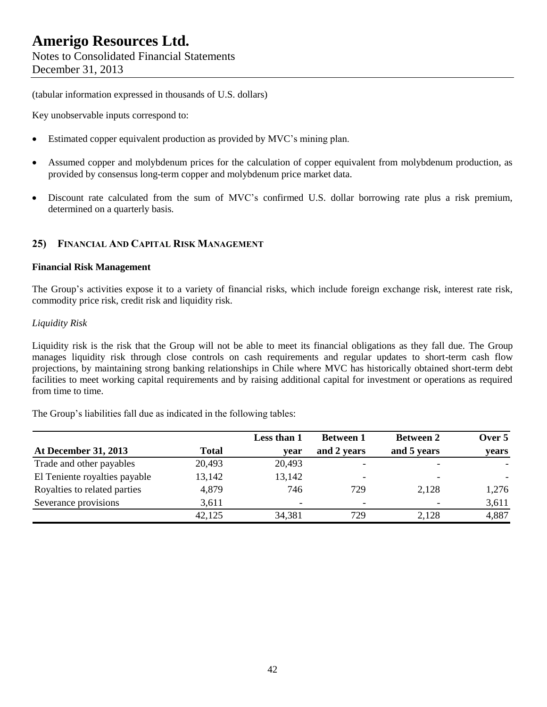## **Amerigo Resources Ltd.** Notes to Consolidated Financial Statements

December 31, 2013

(tabular information expressed in thousands of U.S. dollars)

Key unobservable inputs correspond to:

- Estimated copper equivalent production as provided by MVC's mining plan.
- Assumed copper and molybdenum prices for the calculation of copper equivalent from molybdenum production, as provided by consensus long-term copper and molybdenum price market data.
- Discount rate calculated from the sum of MVC's confirmed U.S. dollar borrowing rate plus a risk premium, determined on a quarterly basis.

### **25) FINANCIAL AND CAPITAL RISK MANAGEMENT**

#### **Financial Risk Management**

The Group's activities expose it to a variety of financial risks, which include foreign exchange risk, interest rate risk, commodity price risk, credit risk and liquidity risk.

#### *Liquidity Risk*

Liquidity risk is the risk that the Group will not be able to meet its financial obligations as they fall due. The Group manages liquidity risk through close controls on cash requirements and regular updates to short-term cash flow projections, by maintaining strong banking relationships in Chile where MVC has historically obtained short-term debt facilities to meet working capital requirements and by raising additional capital for investment or operations as required from time to time.

The Group's liabilities fall due as indicated in the following tables:

|                               |        | Less than 1 | <b>Between 1</b> | <b>Between 2</b>         | Over 5 |
|-------------------------------|--------|-------------|------------------|--------------------------|--------|
| <b>At December 31, 2013</b>   | Total  | vear        | and 2 years      | and 5 years              | years  |
| Trade and other payables      | 20,493 | 20,493      |                  | $\overline{\phantom{0}}$ |        |
| El Teniente royalties payable | 13,142 | 13,142      |                  | $\overline{\phantom{0}}$ |        |
| Royalties to related parties  | 4,879  | 746         | 729              | 2,128                    | 1,276  |
| Severance provisions          | 3,611  |             |                  |                          | 3,611  |
|                               | 42,125 | 34,381      | 729              | 2,128                    | 4,887  |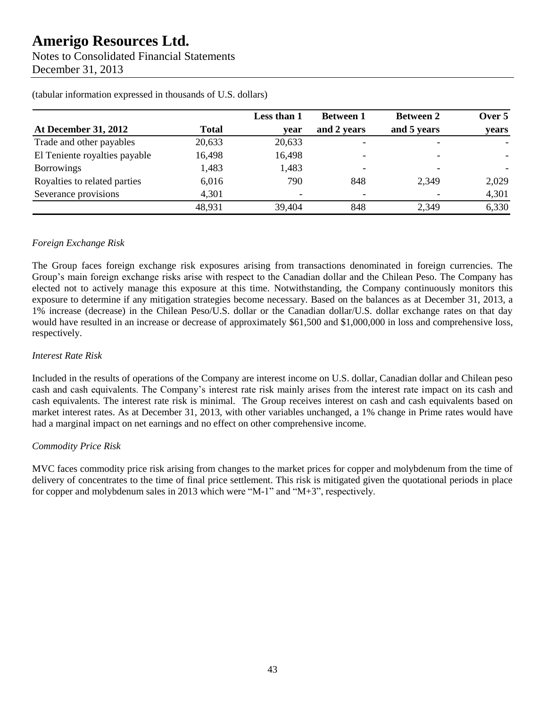Notes to Consolidated Financial Statements December 31, 2013

|                               |              | Less than 1 | <b>Between 1</b> | <b>Between 2</b> | Over 5 |
|-------------------------------|--------------|-------------|------------------|------------------|--------|
| <b>At December 31, 2012</b>   | <b>Total</b> | vear        | and 2 years      | and 5 years      | years  |
| Trade and other payables      | 20,633       | 20,633      |                  |                  |        |
| El Teniente royalties payable | 16,498       | 16,498      |                  |                  |        |
| <b>Borrowings</b>             | 1,483        | 1,483       |                  |                  |        |
| Royalties to related parties  | 6,016        | 790         | 848              | 2,349            | 2,029  |
| Severance provisions          | 4,301        |             |                  |                  | 4,301  |
|                               | 48,931       | 39,404      | 848              | 2,349            | 6,330  |

(tabular information expressed in thousands of U.S. dollars)

## *Foreign Exchange Risk*

The Group faces foreign exchange risk exposures arising from transactions denominated in foreign currencies. The Group's main foreign exchange risks arise with respect to the Canadian dollar and the Chilean Peso. The Company has elected not to actively manage this exposure at this time. Notwithstanding, the Company continuously monitors this exposure to determine if any mitigation strategies become necessary. Based on the balances as at December 31, 2013, a 1% increase (decrease) in the Chilean Peso/U.S. dollar or the Canadian dollar/U.S. dollar exchange rates on that day would have resulted in an increase or decrease of approximately \$61,500 and \$1,000,000 in loss and comprehensive loss, respectively.

### *Interest Rate Risk*

Included in the results of operations of the Company are interest income on U.S. dollar, Canadian dollar and Chilean peso cash and cash equivalents. The Company's interest rate risk mainly arises from the interest rate impact on its cash and cash equivalents. The interest rate risk is minimal. The Group receives interest on cash and cash equivalents based on market interest rates. As at December 31, 2013, with other variables unchanged, a 1% change in Prime rates would have had a marginal impact on net earnings and no effect on other comprehensive income.

### *Commodity Price Risk*

MVC faces commodity price risk arising from changes to the market prices for copper and molybdenum from the time of delivery of concentrates to the time of final price settlement. This risk is mitigated given the quotational periods in place for copper and molybdenum sales in 2013 which were "M-1" and "M+3", respectively.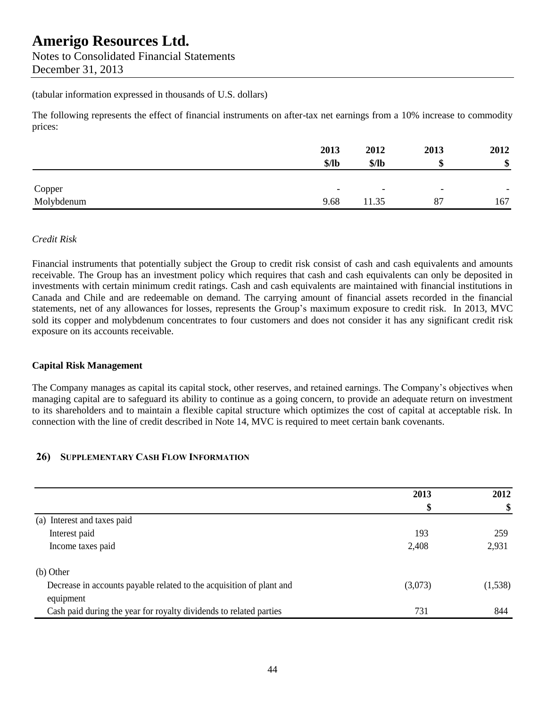Notes to Consolidated Financial Statements December 31, 2013

### (tabular information expressed in thousands of U.S. dollars)

The following represents the effect of financial instruments on after-tax net earnings from a 10% increase to commodity prices:

|            | 2013<br>\$/lb            | 2012<br>\$/lb            | 2013<br>Φ<br>۱D          | 2012<br>\$ |
|------------|--------------------------|--------------------------|--------------------------|------------|
| Copper     | $\overline{\phantom{0}}$ | $\overline{\phantom{0}}$ | $\overline{\phantom{0}}$ | -          |
| Molybdenum | 9.68                     | 11.35                    | 87                       | 167        |

### *Credit Risk*

Financial instruments that potentially subject the Group to credit risk consist of cash and cash equivalents and amounts receivable. The Group has an investment policy which requires that cash and cash equivalents can only be deposited in investments with certain minimum credit ratings. Cash and cash equivalents are maintained with financial institutions in Canada and Chile and are redeemable on demand. The carrying amount of financial assets recorded in the financial statements, net of any allowances for losses, represents the Group's maximum exposure to credit risk. In 2013, MVC sold its copper and molybdenum concentrates to four customers and does not consider it has any significant credit risk exposure on its accounts receivable.

## **Capital Risk Management**

The Company manages as capital its capital stock, other reserves, and retained earnings. The Company's objectives when managing capital are to safeguard its ability to continue as a going concern, to provide an adequate return on investment to its shareholders and to maintain a flexible capital structure which optimizes the cost of capital at acceptable risk. In connection with the line of credit described in Note 14, MVC is required to meet certain bank covenants.

## **26) SUPPLEMENTARY CASH FLOW INFORMATION**

|                                                                      | 2013    | 2012    |
|----------------------------------------------------------------------|---------|---------|
|                                                                      | \$      | \$      |
| Interest and taxes paid<br>(a)                                       |         |         |
| Interest paid                                                        | 193     | 259     |
| Income taxes paid                                                    | 2,408   | 2,931   |
| (b) Other                                                            |         |         |
| Decrease in accounts payable related to the acquisition of plant and | (3,073) | (1,538) |
| equipment                                                            |         |         |
| Cash paid during the year for royalty dividends to related parties   | 731     | 844     |